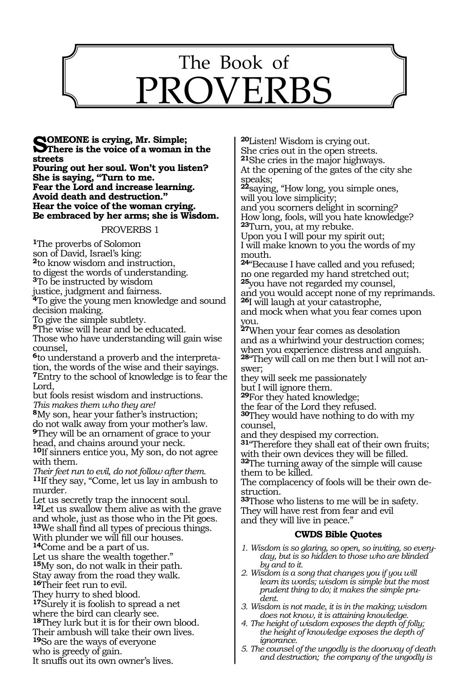

## **SOMEONE** is crying, Mr. Simple;<br> **S**There is the voice of a woman in the **streets**

**Pouring out her soul. Won't you listen? She is saying, "Turn to me. Fear the Lord and increase learning. Avoid death and destruction." Hear the voice of the woman crying. Be embraced by her arms; she is Wisdom.**

#### PROVERBS 1

**<sup>1</sup>**The proverbs of Solomon son of David, Israel's king: **<sup>2</sup>**to know wisdom and instruction, to digest the words of understanding. **<sup>3</sup>**To be instructed by wisdom justice, judgment and fairness. **<sup>4</sup>**To give the young men knowledge and sound decision making. To give the simple subtlety. **<sup>5</sup>**The wise will hear and be educated. Those who have understanding will gain wise counsel, **6**to understand a proverb and the interpretation, the words of the wise and their sayings. **<sup>7</sup>**Entry to the school of knowledge is to fear the Lord,

but fools resist wisdom and instructions. *This makes them who they are!* 

**<sup>8</sup>**My son, hear your father's instruction; do not walk away from your mother's law. **<sup>9</sup>**They will be an ornament of grace to your head, and chains around your neck. **<sup>10</sup>**If sinners entice you, My son, do not agree

with them. *Their feet run to evil, do not follow after them.* 

**<sup>11</sup>**If they say, "Come, let us lay in ambush to murder.

Let us secretly trap the innocent soul. **<sup>12</sup>**Let us swallow them alive as with the grave and whole, just as those who in the Pit goes. **<sup>13</sup>**We shall find all types of precious things. With plunder we will fill our houses. **<sup>14</sup>**Come and be a part of us. Let us share the wealth together." **<sup>15</sup>**My son, do not walk in their path. Stay away from the road they walk. 16Their feet run to evil. They hurry to shed blood. **<sup>17</sup>**Surely it is foolish to spread a net where the bird can clearly see. **<sup>18</sup>**They lurk but it is for their own blood. Their ambush will take their own lives. **<sup>19</sup>**So are the ways of everyone who is greedy of gain.

It snuffs out its own owner's lives.

**<sup>20</sup>**Listen! Wisdom is crying out. She cries out in the open streets. **<sup>21</sup>**She cries in the major highways. At the opening of the gates of the city she

speaks; **<sup>22</sup>**saying, "How long, you simple ones,

will you love simplicity;

and you scorners delight in scorning? How long, fools, will you hate knowledge? **<sup>23</sup>**Turn, you, at my rebuke.

Upon you I will pour my spirit out; I will make known to you the words of my mouth.

**<sup>24</sup>**"Because I have called and you refused; no one regarded my hand stretched out; **<sup>25</sup>**you have not regarded my counsel,

and you would accept none of my reprimands. **<sup>26</sup>**I will laugh at your catastrophe,

and mock when what you fear comes upon you.

**<sup>27</sup>**When your fear comes as desolation and as a whirlwind your destruction comes; when you experience distress and anguish. **28**"They will call on me then but I will not answer;

they will seek me passionately but I will ignore them.

**<sup>29</sup>**For they hated knowledge;

the fear of the Lord they refused.

**<sup>30</sup>**They would have nothing to do with my counsel,

and they despised my correction.

**<sup>31</sup>**"Therefore they shall eat of their own fruits; with their own devices they will be filled.

**<sup>32</sup>**The turning away of the simple will cause them to be killed.

The complacency of fools will be their own destruction.

**<sup>33</sup>**Those who listens to me will be in safety. They will have rest from fear and evil and they will live in peace."

- *1. Wisdom is so glaring, so open, so inviting, so everyday, but is so hidden to those who are blinded by and to it.*
- *2. Wisdom is a song that changes you if you will learn its words; wisdom is simple but the most prudent thing to do; it makes the simple prudent.*
- *3. Wisdom is not made, it is in the making; wisdom does not know, it is attaining knowledge.*
- *4. The height of wisdom exposes the depth of folly; the height of knowledge exposes the depth of ignorance.*
- *5. The counsel of the ungodly is the doorway of death and destruction; the company of the ungodly is*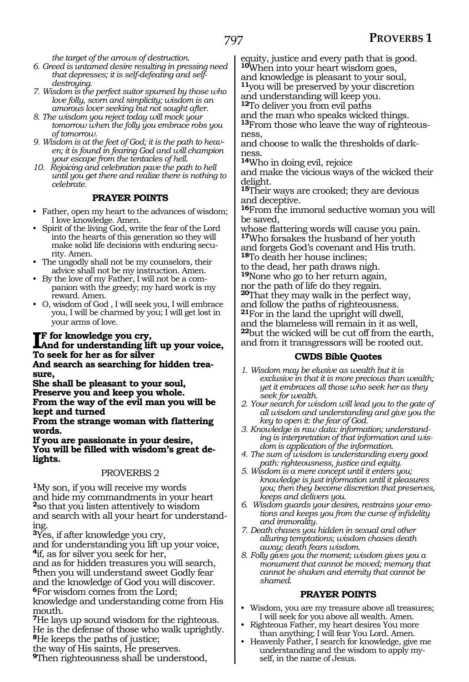*the target of the arrows of destruction.*

- *6. Greed is untamed desire resulting in pressing need that depresses; it is self-defeating and selfdestroying.*
- *7. Wisdom is the perfect suitor spurned by those who love folly, scorn and simplicity; wisdom is an amorous lover seeking but not sought after.*
- *8. The wisdom you reject today will mock your tomorrow when the folly you embrace robs you of tomorrow.*
- *9. Wisdom is at the feet of God; it is the path to heaven; it is found in fearing God and will champion your escape from the tentacles of hell.*
- *10. Rejoicing and celebration pave the path to hell until you get there and realize there is nothing to celebrate.*

## **PRAYER POINTS**

- Father, open my heart to the advances of wisdom; I love knowledge. Amen.
- Spirit of the living God, write the fear of the Lord into the hearts of this generation so they will make solid life decisions with enduring security. Amen.
- The ungodly shall not be my counselors, their advice shall not be my instruction. Amen.
- By the love of my Father, I will not be a companion with the greedy; my hard work is my reward. Amen.
- O, wisdom of God , I will seek you, I will embrace you, I will be charmed by you; I will get lost in your arms of love.

#### **IF** for knowledge you cry,<br>And for understanding lift up your voice,<br>To seek for her as for silver. **f for knowledge you cry, To seek for her as for silver**

#### **And search as searching for hidden treasure,**

**She shall be pleasant to your soul, Preserve you and keep you whole. From the way of the evil man you will be kept and turned** 

**From the strange woman with flattering words.** 

**If you are passionate in your desire, You will be filled with wisdom's great delights.** 

## PROVERBS 2

**<sup>1</sup>**My son, if you will receive my words and hide my commandments in your heart **<sup>2</sup>**so that you listen attentively to wisdom and search with all your heart for understanding.

**<sup>3</sup>**Yes, if after knowledge you cry,

and for understanding you lift up your voice, **<sup>4</sup>**if, as for silver you seek for her,

and as for hidden treasures you will search, **<sup>5</sup>**then you will understand sweet Godly fear and the knowledge of God you will discover.

**<sup>6</sup>**For wisdom comes from the Lord;

knowledge and understanding come from His mouth.

**<sup>7</sup>**He lays up sound wisdom for the righteous. He is the defense of those who walk uprightly. **<sup>8</sup>**He keeps the paths of justice;

the way of His saints, He preserves.

**<sup>9</sup>**Then righteousness shall be understood,

equity, justice and every path that is good. **<sup>10</sup>**When into your heart wisdom goes, and knowledge is pleasant to your soul,

**<sup>11</sup>**you will be preserved by your discretion and understanding will keep you.

**<sup>12</sup>**To deliver you from evil paths

and the man who speaks wicked things. **13**From those who leave the way of righteousness,

and choose to walk the thresholds of darkness.

**<sup>14</sup>**Who in doing evil, rejoice

and make the vicious ways of the wicked their delight.

**<sup>15</sup>**Their ways are crooked; they are devious and deceptive.

**<sup>16</sup>**From the immoral seductive woman you will be saved,

whose flattering words will cause you pain. **<sup>17</sup>**Who forsakes the husband of her youth and forgets God's covenant and His truth. **<sup>18</sup>**To death her house inclines;

to the dead, her path draws nigh.

**<sup>19</sup>**None who go to her return again,

nor the path of life do they regain. **<sup>20</sup>**That they may walk in the perfect way, and follow the paths of righteousness. **<sup>21</sup>**For in the land the upright will dwell, and the blameless will remain in it as well, **<sup>22</sup>**but the wicked will be cut off from the earth, and from it transgressors will be rooted out.

## **CWDS Bible Quotes**

- *1. Wisdom may be elusive as wealth but it is exclusive in that it is more precious than wealth; yet it embraces all those who seek her as they seek for wealth.*
- *2. Your search for wisdom will lead you to the gate of all wisdom and understanding and give you the key to open it: the fear of God.*
- *3. Knowledge is raw data: information; understanding is interpretation of that information and wisdom is application of the information.*
- *4. The sum of wisdom is understanding every good path: righteousness, justice and equity.*
- *5. Wisdom is a mere concept until it enters you; knowledge is just information until it pleasures you; then they become discretion that preserves, keeps and delivers you.*
- *6. Wisdom guards your desires, restrains your emotions and keeps you from the curse of infidelity and immorality.*
- *7. Death chases you hidden in sexual and other alluring temptations; wisdom chases death away; death fears wisdom.*
- *8. Folly gives you the moment; wisdom gives you a monument that cannot be moved; memory that cannot be shaken and eternity that cannot be shamed.*

## **PRAYER POINTS**

- Wisdom, you are my treasure above all treasures; I will seek for you above all wealth. Amen.
- Righteous Father, my heart desires You more than anything; I will fear You Lord. Amen.
- Heavenly Father, I search for knowledge, give me understanding and the wisdom to apply myself, in the name of Jesus.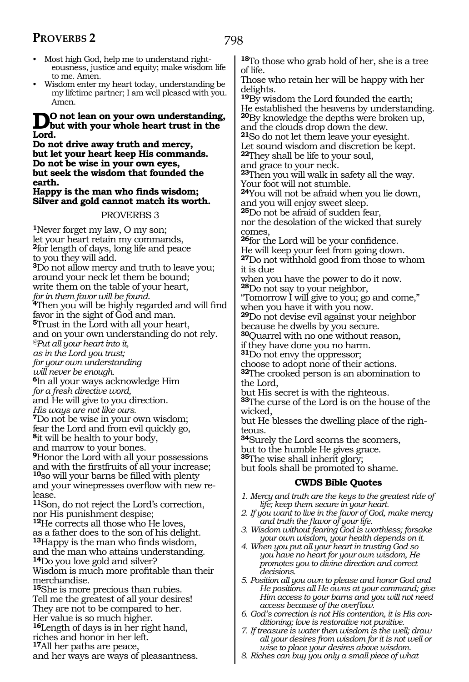- Most high God, help me to understand righteousness, justice and equity; make wisdom life to me. Amen.
- Wisdom enter my heart today, understanding be my lifetime partner; I am well pleased with you. Amen.

## **D**o not lean on your own understanding,<br>Lead **Lord.**

**Do not drive away truth and mercy, but let your heart keep His commands. Do not be wise in your own eyes, but seek the wisdom that founded the earth.**

#### **Happy is the man who finds wisdom; Silver and gold cannot match its worth.**

## PROVERBS 3

**<sup>1</sup>**Never forget my law, O my son; let your heart retain my commands, **<sup>2</sup>**for length of days, long life and peace to you they will add. **<sup>3</sup>**Do not allow mercy and truth to leave you; around your neck let them be bound; write them on the table of your heart, *for in them favor will be found.* **<sup>4</sup>**Then you will be highly regarded and will find favor in the sight of God and man. **<sup>5</sup>**Trust in the Lord with all your heart, and on your own understanding do not rely. *@Put all your heart into it, as in the Lord you trust; for your own understanding will never be enough.*  **<sup>6</sup>**In all your ways acknowledge Him *for a fresh directive word,*  and He will give to you direction. *His ways are not like ours.*  **<sup>7</sup>**Do not be wise in your own wisdom; fear the Lord and from evil quickly go, **<sup>8</sup>**it will be health to your body, and marrow to your bones. **<sup>9</sup>**Honor the Lord with all your possessions and with the firstfruits of all your increase; **<sup>10</sup>**so will your barns be filled with plenty and your winepresses overflow with new release. **<sup>11</sup>**Son, do not reject the Lord's correction, nor His punishment despise; **<sup>12</sup>**He corrects all those who He loves, as a father does to the son of his delight. **<sup>13</sup>**Happy is the man who finds wisdom, and the man who attains understanding. **<sup>14</sup>**Do you love gold and silver? Wisdom is much more profitable than their merchandise. **<sup>15</sup>**She is more precious than rubies. Tell me the greatest of all your desires! They are not to be compared to her. Her value is so much higher. **<sup>16</sup>**Length of days is in her right hand, riches and honor in her left. **<sup>17</sup>**All her paths are peace, and her ways are ways of pleasantness.

**<sup>18</sup>**To those who grab hold of her, she is a tree of life.

Those who retain her will be happy with her delights.

**<sup>19</sup>**By wisdom the Lord founded the earth; He established the heavens by understanding. **<sup>20</sup>**By knowledge the depths were broken up, and the clouds drop down the dew.

**<sup>21</sup>**So do not let them leave your eyesight. Let sound wisdom and discretion be kept.

**<sup>22</sup>**They shall be life to your soul,

and grace to your neck.

**<sup>23</sup>**Then you will walk in safety all the way. Your foot will not stumble.

**<sup>24</sup>**You will not be afraid when you lie down, and you will enjoy sweet sleep.

**<sup>25</sup>**Do not be afraid of sudden fear, nor the desolation of the wicked that surely comes,

**<sup>26</sup>**for the Lord will be your confidence. He will keep your feet from going down.

**<sup>27</sup>**Do not withhold good from those to whom it is due

when you have the power to do it now. **<sup>28</sup>**Do not say to your neighbor,

"Tomorrow I will give to you; go and come," when you have it with you now.

**<sup>29</sup>**Do not devise evil against your neighbor because he dwells by you secure.

**<sup>30</sup>**Quarrel with no one without reason,

if they have done you no harm.

**<sup>31</sup>**Do not envy the oppressor;

choose to adopt none of their actions.

**<sup>32</sup>**The crooked person is an abomination to the Lord,

but His secret is with the righteous.

**<sup>33</sup>**The curse of the Lord is on the house of the wicked,

but He blesses the dwelling place of the righteous.

**<sup>34</sup>**Surely the Lord scorns the scorners,

but to the humble He gives grace.

**<sup>35</sup>**The wise shall inherit glory;

but fools shall be promoted to shame.

- *1. Mercy and truth are the keys to the greatest ride of life; keep them secure in your heart.*
- *2. If you want to live in the favor of God, make mercy and truth the flavor of your life.*
- *3. Wisdom without fearing God is worthless; forsake your own wisdom, your health depends on it.*
- *4. When you put all your heart in trusting God so you have no heart for your own wisdom, He promotes you to divine direction and correct decisions.*
- *5. Position all you own to please and honor God and He positions all He owns at your command; give Him access to your barns and you will not need access because of the overflow.*
- *6. God's correction is not His contention, it is His conditioning; love is restorative not punitive.*
- *7. If treasure is water then wisdom is the well; draw all your desires from wisdom for it is not well or wise to place your desires above wisdom.*
- *8. Riches can buy you only a small piece of what*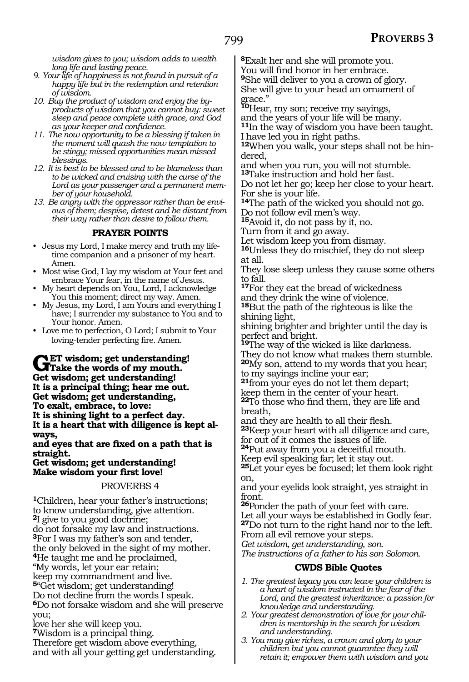*wisdom gives to you; wisdom adds to wealth long life and lasting peace.*

- *9. Your life of happiness is not found in pursuit of a happy life but in the redemption and retention of wisdom.*
- *10. Buy the product of wisdom and enjoy the byproducts of wisdom that you cannot buy: sweet sleep and peace complete with grace, and God as your keeper and confidence.*
- *11. The now opportunity to be a blessing if taken in the moment will quash the now temptation to be stingy; missed opportunities mean missed blessings.*
- *12. It is best to be blessed and to be blameless than to be wicked and cruising with the curse of the Lord as your passenger and a permanent member of your household.*
- *13. Be angry with the oppressor rather than be envious of them; despise, detest and be distant from their way rather than desire to follow them.*

## **PRAYER POINTS**

- Jesus my Lord, I make mercy and truth my lifetime companion and a prisoner of my heart. Amen.
- Most wise God, I lay my wisdom at Your feet and embrace Your fear, in the name of Jesus.
- My heart depends on You, Lord, I acknowledge You this moment; direct my way. Amen.
- My Jesus, my Lord, I am Yours and everything I have; I surrender my substance to You and to Your honor. Amen.
- Love me to perfection, O Lord; I submit to Your loving-tender perfecting fire. Amen.

GET wisdom; get understanding!<br>
Grake the words of my mouth.<br>
Cet wisdom: get understanding! **Get wisdom; get understanding! It is a principal thing; hear me out. Get wisdom; get understanding, To exalt, embrace, to love: It is shining light to a perfect day. It is a heart that with diligence is kept always,**

**and eyes that are fixed on a path that is straight.**

**Get wisdom; get understanding! Make wisdom your first love!**

#### PROVERBS 4

**<sup>1</sup>**Children, hear your father's instructions; to know understanding, give attention. **<sup>2</sup>**I give to you good doctrine; do not forsake my law and instructions. **<sup>3</sup>**For I was my father's son and tender, the only beloved in the sight of my mother. **<sup>4</sup>**He taught me and he proclaimed, "My words, let your ear retain; keep my commandment and live. **<sup>5</sup>**"Get wisdom; get understanding! Do not decline from the words I speak. **<sup>6</sup>**Do not forsake wisdom and she will preserve you; love her she will keep you.

**<sup>7</sup>**Wisdom is a principal thing.

Therefore get wisdom above everything, and with all your getting get understanding. **<sup>8</sup>**Exalt her and she will promote you.

You will find honor in her embrace.

**<sup>9</sup>**She will deliver to you a crown of glory.

She will give to your head an ornament of grace."

**<sup>10</sup>**Hear, my son; receive my sayings,

and the years of your life will be many.

**<sup>11</sup>**In the way of wisdom you have been taught. I have led you in right paths.

**12**When you walk, your steps shall not be hindered,

and when you run, you will not stumble.

**<sup>13</sup>**Take instruction and hold her fast.

Do not let her go; keep her close to your heart. For she is your life.

**<sup>14</sup>**The path of the wicked you should not go. Do not follow evil men's way.

**<sup>15</sup>**Avoid it, do not pass by it, no.

Turn from it and go away.

Let wisdom keep you from dismay. **<sup>16</sup>**Unless they do mischief, they do not sleep

at all.

They lose sleep unless they cause some others to fall.

**<sup>17</sup>**For they eat the bread of wickedness and they drink the wine of violence.

**<sup>18</sup>**But the path of the righteous is like the shining light,

shining brighter and brighter until the day is perfect and bright.

**<sup>19</sup>**The way of the wicked is like darkness. They do not know what makes them stumble. **<sup>20</sup>**My son, attend to my words that you hear; to my sayings incline your ear;

**<sup>21</sup>**from your eyes do not let them depart; keep them in the center of your heart. **<sup>22</sup>**To those who find them, they are life and breath,

and they are health to all their flesh. **<sup>23</sup>**Keep your heart with all diligence and care, for out of it comes the issues of life.

**<sup>24</sup>**Put away from you a deceitful mouth.

Keep evil speaking far; let it stay out.

**<sup>25</sup>**Let your eyes be focused; let them look right on,

and your eyelids look straight, yes straight in front.

**<sup>26</sup>**Ponder the path of your feet with care. Let all your ways be established in Godly fear. **<sup>27</sup>**Do not turn to the right hand nor to the left. From all evil remove your steps.

*Get wisdom, get understanding, son.* 

*The instructions of a father to his son Solomon.* 

- *1. The greatest legacy you can leave your children is a heart of wisdom instructed in the fear of the Lord, and the greatest inheritance: a passion for knowledge and understanding.*
- *2. Your greatest demonstration of love for your children is mentorship in the search for wisdom and understanding.*
- *3. You may give riches, a crown and glory to your children but you cannot guarantee they will retain it; empower them with wisdom and you*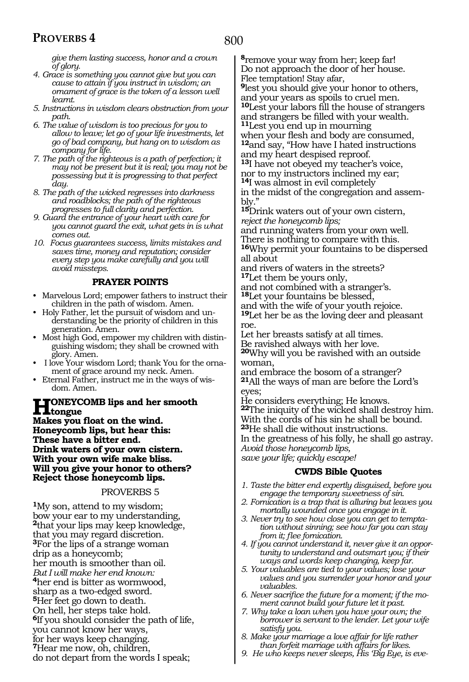*give them lasting success, honor and a crown of glory.*

- *4. Grace is something you cannot give but you can cause to attain if you instruct in wisdom; an ornament of grace is the token of a lesson well learnt.*
- *5. Instructions in wisdom clears obstruction from your path.*
- *6. The value of wisdom is too precious for you to allow to leave; let go of your life investments, let go of bad company, but hang on to wisdom as company for life.*
- *7. The path of the righteous is a path of perfection; it may not be present but it is real; you may not be possessing but it is progressing to that perfect day.*
- *8. The path of the wicked regresses into darkness and roadblocks; the path of the righteous progresses to full clarity and perfection.*
- *9. Guard the entrance of your heart with care for you cannot guard the exit, what gets in is what comes out.*
- *10. Focus guarantees success, limits mistakes and saves time, money and reputation; consider every step you make carefully and you will avoid missteps.*

#### **PRAYER POINTS**

- Marvelous Lord; empower fathers to instruct their children in the path of wisdom. Amen.
- Holy Father, let the pursuit of wisdom and understanding be the priority of children in this generation. Amen.
- Most high God, empower my children with distinguishing wisdom; they shall be crowned with glory. Amen.
- I love Your wisdom Lord; thank You for the ornament of grace around my neck. Amen.
- Eternal Father, instruct me in the ways of wisdom. Amen.

## **Honeycomb lips and her smooth tongue**

**Makes you float on the wind. Honeycomb lips, but hear this: These have a bitter end. Drink waters of your own cistern. With your own wife make bliss. Will you give your honor to others? Reject those honeycomb lips.**

#### PROVERBS 5

**<sup>1</sup>**My son, attend to my wisdom; bow your ear to my understanding, **<sup>2</sup>**that your lips may keep knowledge, that you may regard discretion. **<sup>3</sup>**For the lips of a strange woman drip as a honeycomb; her mouth is smoother than oil. *But I will make her end known:*  **<sup>4</sup>**her end is bitter as wormwood, sharp as a two-edged sword. **<sup>5</sup>**Her feet go down to death. On hell, her steps take hold. **<sup>6</sup>**If you should consider the path of life, you cannot know her ways, for her ways keep changing. **<sup>7</sup>**Hear me now, oh, children, do not depart from the words I speak;

**<sup>8</sup>**remove your way from her; keep far! Do not approach the door of her house. Flee temptation! Stay afar,

**<sup>9</sup>**lest you should give your honor to others, and your years as spoils to cruel men.

**<sup>10</sup>**Lest your labors fill the house of strangers and strangers be filled with your wealth.

**<sup>11</sup>**Lest you end up in mourning

when your flesh and body are consumed, **<sup>12</sup>**and say, "How have I hated instructions and my heart despised reproof*.* **13**I have not obeyed my teacher's voice,

nor to my instructors inclined my ear;

**<sup>14</sup>**I was almost in evil completely

in the midst of the congregation and assem- bly."

**<sup>15</sup>**Drink waters out of your own cistern, *reject the honeycomb lips;* 

and running waters from your own well.

There is nothing to compare with this.

**<sup>16</sup>**Why permit your fountains to be dispersed all about

and rivers of waters in the streets? **<sup>17</sup>**Let them be yours only,

and not combined with a stranger's. **<sup>18</sup>**Let your fountains be blessed,

and with the wife of your youth rejoice.

**<sup>19</sup>**Let her be as the loving deer and pleasant roe.

Let her breasts satisfy at all times. Be ravished always with her love.

**<sup>20</sup>**Why will you be ravished with an outside woman,

and embrace the bosom of a stranger? **<sup>21</sup>**All the ways of man are before the Lord's eyes;

He considers everything; He knows. **<sup>22</sup>**The iniquity of the wicked shall destroy him. With the cords of his sin he shall be bound. **<sup>23</sup>**He shall die without instructions.

In the greatness of his folly, he shall go astray. *Avoid those honeycomb lips,* 

*save your life; quickly escape!* 

- *1. Taste the bitter end expertly disguised, before you engage the temporary sweetness of sin.*
- *2. Fornication is a trap that is alluring but leaves you mortally wounded once you engage in it.*
- *3. Never try to see how close you can get to temptation without sinning; see how far you can stay from it; flee fornication.*
- *4. If you cannot understand it, never give it an opportunity to understand and outsmart you; if their ways and words keep changing, keep far.*
- *5. Your valuables are tied to your values; lose your values and you surrender your honor and your valuables.*
- *6. Never sacrifice the future for a moment; if the moment cannot build your future let it past.*
- *7. Why take a loan when you have your own; the borrower is servant to the lender. Let your wife satisfy you.*
- *8. Make your marriage a love affair for life rather than forfeit marriage with affairs for likes.*
- *9. He who keeps never sleeps, His 'Big Eye, is eve-*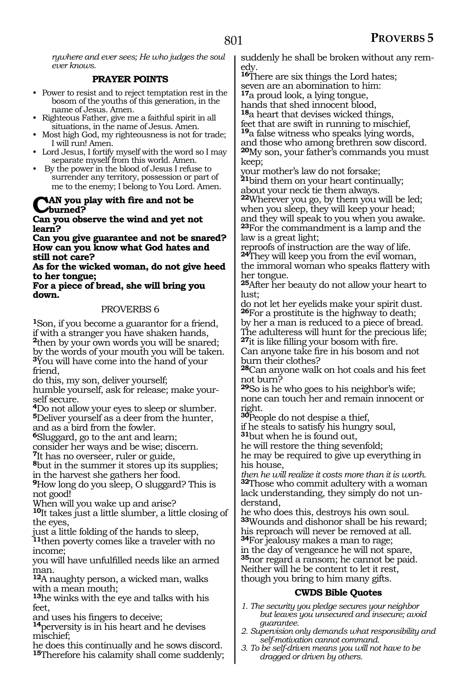*rywhere and ever sees; He who judges the soul ever knows.*

## **PRAYER POINTS**

- Power to resist and to reject temptation rest in the bosom of the youths of this generation, in the name of Jesus. Amen.
- Righteous Father, give me a faithful spirit in all situations, in the name of Jesus. Amen.
- Most high God, my righteousness is not for trade; I will run! Amen.
- Lord Jesus, I fortify myself with the word so I may separate myself from this world. Amen.
- By the power in the blood of Jesus I refuse to surrender any territory, possession or part of me to the enemy; I belong to You Lord. Amen.

## **CAN** you play with fire and not be **burned?**

#### **Can you observe the wind and yet not learn?**

**Can you give guarantee and not be snared? How can you know what God hates and still not care?**

**As for the wicked woman, do not give heed to her tongue;** 

#### **For a piece of bread, she will bring you down.**

## PROVERBS 6

**<sup>1</sup>**Son, if you become a guarantor for a friend, if with a stranger you have shaken hands, **<sup>2</sup>**then by your own words you will be snared; by the words of your mouth you will be taken. **<sup>3</sup>**You will have come into the hand of your friend,

do this, my son, deliver yourself;

humble yourself, ask for release; make yourself secure.

**<sup>4</sup>**Do not allow your eyes to sleep or slumber. **<sup>5</sup>**Deliver yourself as a deer from the hunter, and as a bird from the fowler.

**<sup>6</sup>**Sluggard, go to the ant and learn;

consider her ways and be wise; discern. **<sup>7</sup>**It has no overseer, ruler or guide,

**<sup>8</sup>**but in the summer it stores up its supplies; in the harvest she gathers her food.

**<sup>9</sup>**How long do you sleep, O sluggard? This is not good!

When will you wake up and arise?

**<sup>10</sup>**It takes just a little slumber, a little closing of the eyes,

just a little folding of the hands to sleep, **<sup>11</sup>**then poverty comes like a traveler with no

income; you will have unfulfilled needs like an armed man.

**<sup>12</sup>**A naughty person, a wicked man, walks with a mean mouth;

**<sup>13</sup>**he winks with the eye and talks with his feet

and uses his fingers to deceive;

**<sup>14</sup>**perversity is in his heart and he devises mischief;

he does this continually and he sows discord. **<sup>15</sup>**Therefore his calamity shall come suddenly; suddenly he shall be broken without any remedy.

**<sup>16</sup>**There are six things the Lord hates; seven are an abomination to him: **<sup>17</sup>**a proud look, a lying tongue,

hands that shed innocent blood,

**<sup>18</sup>**a heart that devises wicked things,

feet that are swift in running to mischief,

**<sup>19</sup>**a false witness who speaks lying words,

and those who among brethren sow discord. **<sup>20</sup>**My son, your father's commands you must keep;

your mother's law do not forsake; **<sup>21</sup>**bind them on your heart continually;

about your neck tie them always.

**<sup>22</sup>**Wherever you go, by them you will be led; when you sleep, they will keep your head; and they will speak to you when you awake. **<sup>23</sup>**For the commandment is a lamp and the law is a great light;

reproofs of instruction are the way of life. **<sup>24</sup>**They will keep you from the evil woman, the immoral woman who speaks flattery with her tongue.

**<sup>25</sup>**After her beauty do not allow your heart to lust;

do not let her eyelids make your spirit dust. **<sup>26</sup>**For a prostitute is the highway to death; by her a man is reduced to a piece of bread. The adulteress will hunt for the precious life;

**<sup>27</sup>**it is like filling your bosom with fire. Can anyone take fire in his bosom and not burn their clothes?

**<sup>28</sup>**Can anyone walk on hot coals and his feet not burn?

**<sup>29</sup>**So is he who goes to his neighbor's wife; none can touch her and remain innocent or right.

**<sup>30</sup>**People do not despise a thief,

if he steals to satisfy his hungry soul,

**<sup>31</sup>**but when he is found out,

he will restore the thing sevenfold;

he may be required to give up everything in his house,

*then he will realize it costs more than it is worth.*  **<sup>32</sup>**Those who commit adultery with a woman lack understanding, they simply do not un- derstand,

he who does this, destroys his own soul. **<sup>33</sup>**Wounds and dishonor shall be his reward; his reproach will never be removed at all. **<sup>34</sup>**For jealousy makes a man to rage; in the day of vengeance he will not spare, **<sup>35</sup>**nor regard a ransom; he cannot be paid. Neither will he be content to let it rest, though you bring to him many gifts.

- *1. The security you pledge secures your neighbor but leaves you unsecured and insecure; avoid guarantee.*
- *2. Supervision only demands what responsibility and self-motivation cannot command.*
- *3. To be self-driven means you will not have to be dragged or driven by others.*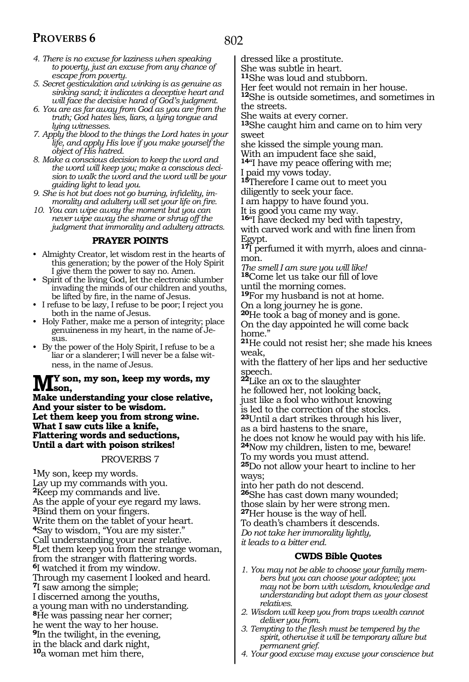- *4. There is no excuse for laziness when speaking to poverty, just an excuse from any chance of escape from poverty.*
- *5. Secret gesticulation and winking is as genuine as sinking sand; it indicates a deceptive heart and will face the decisive hand of God's judgment.*
- *6. You are as far away from God as you are from the truth; God hates lies, liars, a lying tongue and lying witnesses.*
- *7. Apply the blood to the things the Lord hates in your life, and apply His love if you make yourself the object of His hatred.*
- *8. Make a conscious decision to keep the word and the word will keep you; make a conscious decision to walk the word and the word will be your guiding light to lead you.*
- *9. She is hot but does not go burning, infidelity, immorality and adultery will set your life on fire.*
- *10. You can wipe away the moment but you can never wipe away the shame or shrug off the judgment that immorality and adultery attracts.*

## **PRAYER POINTS**

- Almighty Creator, let wisdom rest in the hearts of this generation; by the power of the Holy Spirit I give them the power to say no. Amen.
- Spirit of the living God, let the electronic slumber invading the minds of our children and youths, be lifted by fire, in the name of Jesus.
- I refuse to be lazy, I refuse to be poor; I reject you both in the name of Jesus.
- Holy Father, make me a person of integrity; place genuineness in my heart, in the name of Jesus.
- By the power of the Holy Spirit, I refuse to be a liar or a slanderer; I will never be a false witness, in the name of Jesus.

# **M**<sup>Y</sup> son, my son, keep my words, my<br>Make understanding name alone relative

**Make understanding your close relative, And your sister to be wisdom. Let them keep you from strong wine. What I saw cuts like a knife, Flattering words and seductions, Until a dart with poison strikes!** 

#### PROVERBS 7

**<sup>1</sup>**My son, keep my words. Lay up my commands with you. **<sup>2</sup>**Keep my commands and live. As the apple of your eye regard my laws. **<sup>3</sup>**Bind them on your fingers. Write them on the tablet of your heart. **<sup>4</sup>**Say to wisdom, "You are my sister." Call understanding your near relative. **<sup>5</sup>**Let them keep you from the strange woman, from the stranger with flattering words. **<sup>6</sup>**I watched it from my window. Through my casement I looked and heard. **<sup>7</sup>**I saw among the simple; I discerned among the youths, a young man with no understanding. **<sup>8</sup>**He was passing near her corner; he went the way to her house. **<sup>9</sup>**In the twilight, in the evening, in the black and dark night, **<sup>10</sup>**a woman met him there,

dressed like a prostitute.

She was subtle in heart.

**<sup>11</sup>**She was loud and stubborn.

Her feet would not remain in her house.

**<sup>12</sup>**She is outside sometimes, and sometimes in the streets.

She waits at every corner.

**<sup>13</sup>**She caught him and came on to him very sweet

she kissed the simple young man. With an impudent face she said,

**<sup>14</sup>**"I have my peace offering with me; I paid my vows today.

**<sup>15</sup>**Therefore I came out to meet you

diligently to seek your face. I am happy to have found you.

It is good you came my way.

**<sup>16</sup>**"I have decked my bed with tapestry,

with carved work and with fine linen from Egypt.

**17**I perfumed it with myrrh, aloes and cinnamon.

*The smell I am sure you will like!*  **<sup>18</sup>**Come let us take our fill of love

until the morning comes.

**<sup>19</sup>**For my husband is not at home. On a long journey he is gone.

**<sup>20</sup>**He took a bag of money and is gone. On the day appointed he will come back home."

**<sup>21</sup>**He could not resist her; she made his knees weak,

with the flattery of her lips and her seductive speech.

**<sup>22</sup>**Like an ox to the slaughter

he followed her, not looking back,

just like a fool who without knowing

is led to the correction of the stocks.

**<sup>23</sup>**Until a dart strikes through his liver,

as a bird hastens to the snare,

he does not know he would pay with his life. **<sup>24</sup>**Now my children, listen to me, beware!

To my words you must attend.

**<sup>25</sup>**Do not allow your heart to incline to her ways;

into her path do not descend.

**<sup>26</sup>**She has cast down many wounded;

those slain by her were strong men.

**<sup>27</sup>**Her house is the way of hell.

To death's chambers it descends.

*Do not take her immorality lightly,* 

*it leads to a bitter end.* 

- *1. You may not be able to choose your family members but you can choose your adoptee; you may not be born with wisdom, knowledge and understanding but adopt them as your closest relatives.*
- *2. Wisdom will keep you from traps wealth cannot deliver you from.*
- *3. Tempting to the flesh must be tempered by the spirit, otherwise it will be temporary allure but permanent grief.*
- *4. Your good excuse may excuse your conscience but*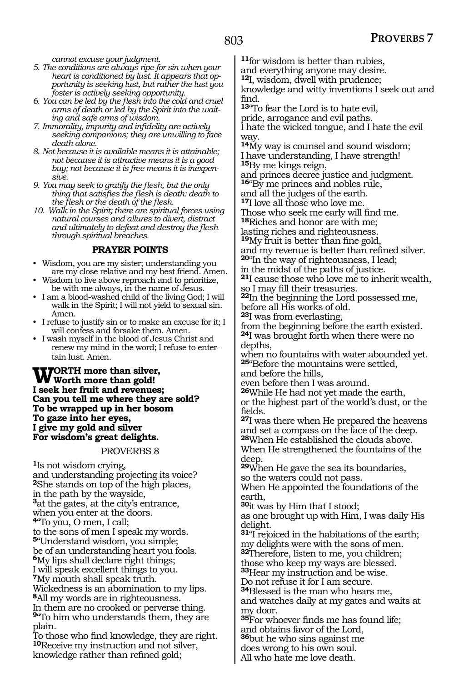way.

*cannot excuse your judgment.*

- *5. The conditions are always ripe for sin when your heart is conditioned by lust. It appears that opportunity is seeking lust, but rather the lust you foster is actively seeking opportunity.*
- *6. You can be led by the flesh into the cold and cruel arms of death or led by the Spirit into the waiting and safe arms of wisdom.*
- *7. Immorality, impurity and infidelity are actively death alone.*
- *8. Not because it is available means it is attainable; not because it is attractive means it is a good buy; not because it is free means it is inexpensive.*
- *9. You may seek to gratify the flesh, but the only thing that satisfies the flesh is death: death to the flesh or the death of the flesh.*
- *10. Walk in the Spirit; there are spiritual forces using natural courses and allures to divert, distract and ultimately to defeat and destroy the flesh through spiritual breaches.*

## **PRAYER POINTS**

- Wisdom, you are my sister; understanding you are my close relative and my best friend. Amen.
- Wisdom to live above reproach and to prioritize, be with me always, in the name of Jesus.
- I am a blood-washed child of the living God; I will walk in the Spirit; I will not yield to sexual sin. Amen.
- I refuse to justify sin or to make an excuse for it; I will confess and forsake them. Amen.
- I wash myself in the blood of Jesus Christ and renew my mind in the word; I refuse to entertain lust. Amen.

**Worth more than silver, Worth more than gold! I seek her fruit and revenues; Can you tell me where they are sold? To be wrapped up in her bosom To gaze into her eyes, I give my gold and silver For wisdom's great delights.**

#### PROVERBS 8

**<sup>1</sup>**Is not wisdom crying, and understanding projecting its voice? **<sup>2</sup>**She stands on top of the high places, in the path by the wayside, **<sup>3</sup>**at the gates, at the city's entrance, when you enter at the doors. **<sup>4</sup>**"To you, O men, I call; to the sons of men I speak my words. **<sup>5</sup>**"Understand wisdom, you simple; be of an understanding heart you fools. **<sup>6</sup>**My lips shall declare right things; I will speak excellent things to you. **<sup>7</sup>**My mouth shall speak truth. Wickedness is an abomination to my lips. **<sup>8</sup>**All my words are in righteousness. In them are no crooked or perverse thing. **<sup>9</sup>**"To him who understands them, they are plain. To those who find knowledge, they are right. **<sup>10</sup>**Receive my instruction and not silver,

- and everything anyone may desire. **<sup>12</sup>**I, wisdom, dwell with prudence; knowledge and witty inventions I seek out and
- find. **<sup>13</sup>**"To fear the Lord is to hate evil, pride, arrogance and evil paths.

*seeking companions; they are unwilling to face* 

**<sup>14</sup>**My way is counsel and sound wisdom; I have understanding, I have strength! **<sup>15</sup>**By me kings reign,

and princes decree justice and judgment. **<sup>16</sup>**"By me princes and nobles rule,

I hate the wicked tongue, and I hate the evil

**<sup>11</sup>**for wisdom is better than rubies,

and all the judges of the earth.

**<sup>17</sup>**I love all those who love me.

Those who seek me early will find me. **<sup>18</sup>**Riches and honor are with me;

lasting riches and righteousness.

**<sup>19</sup>**My fruit is better than fine gold,

and my revenue is better than refined silver. **<sup>20</sup>**"In the way of righteousness, I lead;

in the midst of the paths of justice.

**<sup>21</sup>**I cause those who love me to inherit wealth, so I may fill their treasuries.

**<sup>22</sup>**In the beginning the Lord possessed me, before all His works of old.

**<sup>23</sup>**I was from everlasting,

from the beginning before the earth existed. **<sup>24</sup>**I was brought forth when there were no depths,

when no fountains with water abounded yet. **<sup>25</sup>**"Before the mountains were settled,

and before the hills,

even before then I was around.

**<sup>26</sup>**While He had not yet made the earth, or the highest part of the world's dust, or the fields.

**<sup>27</sup>**I was there when He prepared the heavens and set a compass on the face of the deep. **<sup>28</sup>**When He established the clouds above.

When He strengthened the fountains of the deep.

**<sup>29</sup>**When He gave the sea its boundaries, so the waters could not pass.

When He appointed the foundations of the earth,

**<sup>30</sup>**it was by Him that I stood;

as one brought up with Him, I was daily His delight.

**<sup>31</sup>**"I rejoiced in the habitations of the earth; my delights were with the sons of men.

**<sup>32</sup>**Therefore, listen to me, you children;

those who keep my ways are blessed. **<sup>33</sup>**Hear my instruction and be wise.

Do not refuse it for I am secure.

**<sup>34</sup>**Blessed is the man who hears me,

and watches daily at my gates and waits at my door.

**<sup>35</sup>**For whoever finds me has found life; and obtains favor of the Lord,

**<sup>36</sup>**but he who sins against me

does wrong to his own soul. All who hate me love death.

knowledge rather than refined gold;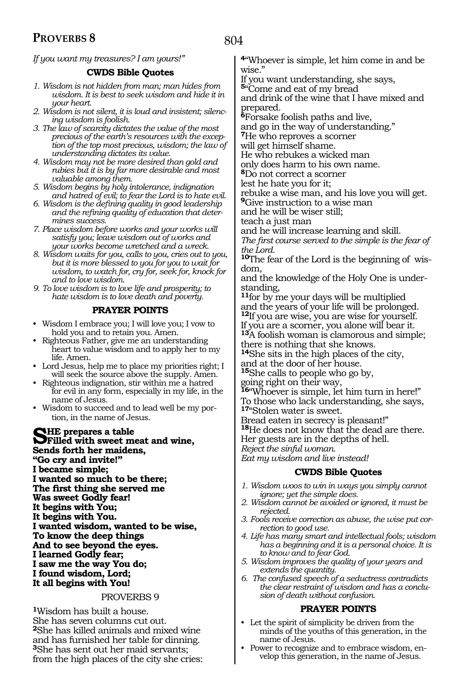*If you want my treasures? I am yours!"*

## **CWDS Bible Quotes**

- *1. Wisdom is not hidden from man; man hides from wisdom. It is best to seek wisdom and hide it in your heart.*
- *2. Wisdom is not silent, it is loud and insistent; silencing wisdom is foolish.*
- *3. The law of scarcity dictates the value of the most precious of the earth's resources with the exception of the top most precious, wisdom; the law of understanding dictates its value.*
- *4. Wisdom may not be more desired than gold and rubies but it is by far more desirable and most valuable among them.*
- *5. Wisdom begins by holy intolerance, indignation and hatred of evil; to fear the Lord is to hate evil.*
- *6. Wisdom is the defining quality in good leadership and the refining quality of education that determines success.*
- *7. Place wisdom before works and your works will satisfy you; leave wisdom out of works and your works become wretched and a wreck.*
- *8. Wisdom waits for you, calls to you, cries out to you, but it is more blessed to you for you to wait for wisdom, to watch for, cry for, seek for, knock for and to love wisdom.*
- *9. To love wisdom is to love life and prosperity; to hate wisdom is to love death and poverty.*

## **PRAYER POINTS**

- Wisdom I embrace you; I will love you; I vow to hold you and to retain you. Amen.
- Righteous Father, give me an understanding heart to value wisdom and to apply her to my life. Amen.
- Lord Jesus, help me to place my priorities right; I will seek the source above the supply. Amen.
- Righteous indignation, stir within me a hatred for evil in any form, especially in my life, in the name of Jesus.
- Wisdom to succeed and to lead well be my portion, in the name of Jesus.

**SHE prepares a table<br>
She with sweet meat and wine,<br>
Sonda forth har maidana Sends forth her maidens, "Go cry and invite!" I became simple; I wanted so much to be there; The first thing she served me Was sweet Godly fear! It begins with You; It begins with You. I wanted wisdom, wanted to be wise, To know the deep things And to see beyond the eyes. I learned Godly fear; I saw me the way You do; I found wisdom, Lord; It all begins with You!**

## PROVERBS 9

**<sup>1</sup>**Wisdom has built a house. She has seven columns cut out. **<sup>2</sup>**She has killed animals and mixed wine and has furnished her table for dinning. **<sup>3</sup>**She has sent out her maid servants; from the high places of the city she cries: **<sup>4</sup>**"Whoever is simple, let him come in and be wise."

If you want understanding, she says,

**<sup>5</sup>**"Come and eat of my bread

and drink of the wine that I have mixed and prepared.

**<sup>6</sup>**Forsake foolish paths and live,

and go in the way of understanding."

**<sup>7</sup>**He who reproves a scorner

will get himself shame.

He who rebukes a wicked man

only does harm to his own name.

**<sup>8</sup>**Do not correct a scorner lest he hate you for it;

rebuke a wise man, and his love you will get.

**<sup>9</sup>**Give instruction to a wise man

and he will be wiser still;

teach a just man

and he will increase learning and skill.

*The first course served to the simple is the fear of the Lord.* 

**10**The fear of the Lord is the beginning of wisdom,

and the knowledge of the Holy One is understanding,

**<sup>11</sup>**for by me your days will be multiplied and the years of your life will be prolonged. **<sup>12</sup>**If you are wise, you are wise for yourself. If you are a scorner, you alone will bear it. **<sup>13</sup>**A foolish woman is clamorous and simple; there is nothing that she knows.

**<sup>14</sup>**She sits in the high places of the city, and at the door of her house.

**<sup>15</sup>**She calls to people who go by,

going right on their way,

**<sup>16</sup>**"Whoever is simple, let him turn in here!" To those who lack understanding, she says, **<sup>17</sup>**"Stolen water is sweet.

Bread eaten in secrecy is pleasant!"

**<sup>18</sup>**He does not know that the dead are there. Her guests are in the depths of hell.

*Reject the sinful woman.* 

*Eat my wisdom and live instead!* 

## **CWDS Bible Quotes**

- *1. Wisdom woos to win in ways you simply cannot ignore; yet the simple does.*
- *2. Wisdom cannot be avoided or ignored, it must be rejected.*
- *3. Fools receive correction as abuse, the wise put correction to good use.*
- *4. Life has many smart and intellectual fools; wisdom has a beginning and it is a personal choice. It is to know and to fear God.*
- *5. Wisdom improves the quality of your years and extends the quantity.*
- *6. The confused speech of a seductress contradicts the clear restraint of wisdom and has a conclusion of death without confusion.*

## **PRAYER POINTS**

- Let the spirit of simplicity be driven from the minds of the youths of this generation, in the name of Jesus.
- Power to recognize and to embrace wisdom, envelop this generation, in the name of Jesus.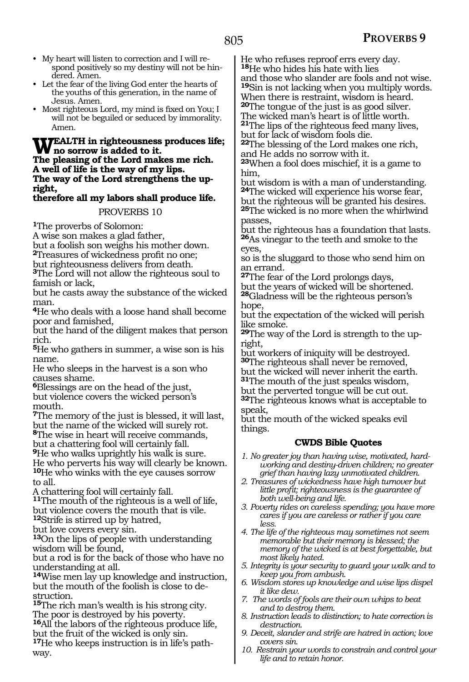- My heart will listen to correction and I will respond positively so my destiny will not be hindered. Amen.
- Let the fear of the living God enter the hearts of the youths of this generation, in the name of Jesus. Amen.
- Most righteous Lord, my mind is fixed on You; I will not be beguiled or seduced by immorality. Amen.

### WEALTH in righteousness produces life; **no sorrow is added to it. The pleasing of the Lord makes me rich. A well of life is the way of my lips. The way of the Lord strengthens the upright,**

## **therefore all my labors shall produce life.**

## PROVERBS 10

**<sup>1</sup>**The proverbs of Solomon:

A wise son makes a glad father,

but a foolish son weighs his mother down.

**<sup>2</sup>**Treasures of wickedness profit no one;

but righteousness delivers from death.

**<sup>3</sup>**The Lord will not allow the righteous soul to famish or lack,

but he casts away the substance of the wicked man.

**<sup>4</sup>**He who deals with a loose hand shall become poor and famished,

but the hand of the diligent makes that person rich.

**<sup>5</sup>**He who gathers in summer, a wise son is his name.

He who sleeps in the harvest is a son who causes shame.

**<sup>6</sup>**Blessings are on the head of the just, but violence covers the wicked person's mouth.

**<sup>7</sup>**The memory of the just is blessed, it will last, but the name of the wicked will surely rot.

**<sup>8</sup>**The wise in heart will receive commands,

but a chattering fool will certainly fall.

**<sup>9</sup>**He who walks uprightly his walk is sure. He who perverts his way will clearly be known. **<sup>10</sup>**He who winks with the eye causes sorrow to all.

A chattering fool will certainly fall.

**<sup>11</sup>**The mouth of the righteous is a well of life, but violence covers the mouth that is vile. **<sup>12</sup>**Strife is stirred up by hatred,

but love covers every sin.

**<sup>13</sup>**On the lips of people with understanding wisdom will be found,

but a rod is for the back of those who have no understanding at all.

**<sup>14</sup>**Wise men lay up knowledge and instruction, but the mouth of the foolish is close to destruction.

**<sup>15</sup>**The rich man's wealth is his strong city. The poor is destroyed by his poverty.

**<sup>16</sup>**All the labors of the righteous produce life*,*  but the fruit of the wicked is only sin.

**<sup>17</sup>**He who keeps instruction is in life's path- way.

He who refuses reproof errs every day. **<sup>18</sup>**He who hides his hate with lies

and those who slander are fools and not wise. **<sup>19</sup>**Sin is not lacking when you multiply words. When there is restraint, wisdom is heard.

**<sup>20</sup>**The tongue of the just is as good silver.

The wicked man's heart is of little worth. **<sup>21</sup>**The lips of the righteous feed many lives, but for lack of wisdom fools die.

**<sup>22</sup>**The blessing of the Lord makes one rich, and He adds no sorrow with it.

**<sup>23</sup>**When a fool does mischief, it is a game to him,

but wisdom is with a man of understanding. **<sup>24</sup>**The wicked will experience his worse fear,

but the righteous will be granted his desires. **<sup>25</sup>**The wicked is no more when the whirlwind passes,

but the righteous has a foundation that lasts. **<sup>26</sup>**As vinegar to the teeth and smoke to the eyes,

so is the sluggard to those who send him on an errand.

**<sup>27</sup>**The fear of the Lord prolongs days, but the years of wicked will be shortened. **<sup>28</sup>**Gladness will be the righteous person's hope,

but the expectation of the wicked will perish like smoke.

**29**The way of the Lord is strength to the upright,

but workers of iniquity will be destroyed. **<sup>30</sup>**The righteous shall never be removed,

but the wicked will never inherit the earth. **<sup>31</sup>**The mouth of the just speaks wisdom,

but the perverted tongue will be cut out.

**<sup>32</sup>**The righteous knows what is acceptable to speak,

but the mouth of the wicked speaks evil things.

## **CWDS Bible Quotes**

*1. No greater joy than having wise, motivated, hardworking and destiny-driven children; no greater grief than having lazy unmotivated children.*

*2. Treasures of wickedness have high turnover but little profit; righteousness is the guarantee of both well-being and life.*

- *3. Poverty rides on careless spending; you have more cares if you are careless or rather if you care less.*
- *4. The life of the righteous may sometimes not seem memorable but their memory is blessed; the memory of the wicked is at best forgettable, but most likely hated.*
- *5. Integrity is your security to guard your walk and to keep you from ambush.*
- *6. Wisdom stores up knowledge and wise lips dispel it like dew.*
- *7. The words of fools are their own whips to beat and to destroy them.*
- *8. Instruction leads to distinction; to hate correction is destruction.*
- *9. Deceit, slander and strife are hatred in action; love covers sin.*
- *10. Restrain your words to constrain and control your life and to retain honor.*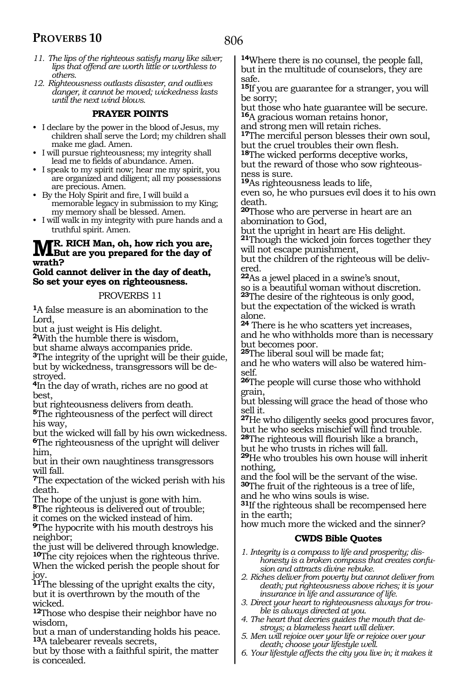- *11. The lips of the righteous satisfy many like silver; lips that offend are worth little or worthless to others.*
- *12. Righteousness outlasts disaster, and outlives danger, it cannot be moved; wickedness lasts until the next wind blows.*

## **PRAYER POINTS**

- I declare by the power in the blood of Jesus, my children shall serve the Lord; my children shall make me glad. Amen.
- I will pursue righteousness; my integrity shall lead me to fields of abundance. Amen.
- I speak to my spirit now; hear me my spirit, you are organized and diligent; all my possessions are precious. Amen.
- By the Holy Spirit and fire, I will build a memorable legacy in submission to my King; my memory shall be blessed. Amen.
- I will walk in my integrity with pure hands and a truthful spirit. Amen.

## **MR.** RICH Man, oh, how rich you are,<br> **MBut are you prepared for the day of wrath?**

## **Gold cannot deliver in the day of death, So set your eyes on righteousness.**

#### PROVERBS 11

**<sup>1</sup>**A false measure is an abomination to the Lord,

but a just weight is His delight.

**<sup>2</sup>**With the humble there is wisdom,

but shame always accompanies pride.

**<sup>3</sup>**The integrity of the upright will be their guide, but by wickedness, transgressors will be destroyed.

**<sup>4</sup>**In the day of wrath, riches are no good at best,

but righteousness delivers from death.

**<sup>5</sup>**The righteousness of the perfect will direct his way,

but the wicked will fall by his own wickedness. **<sup>6</sup>**The righteousness of the upright will deliver him,

but in their own naughtiness transgressors will fall.

**<sup>7</sup>**The expectation of the wicked perish with his death.

The hope of the unjust is gone with him.

**<sup>8</sup>**The righteous is delivered out of trouble; it comes on the wicked instead of him.

**<sup>9</sup>**The hypocrite with his mouth destroys his neighbor;

the just will be delivered through knowledge. **<sup>10</sup>**The city rejoices when the righteous thrive. When the wicked perish the people shout for joy.

**<sup>11</sup>**The blessing of the upright exalts the city, but it is overthrown by the mouth of the wicked.

**<sup>12</sup>**Those who despise their neighbor have no wisdom,

but a man of understanding holds his peace. **<sup>13</sup>**A talebearer reveals secrets,

but by those with a faithful spirit, the matter is concealed.

**<sup>14</sup>**Where there is no counsel, the people fall, but in the multitude of counselors, they are safe.

**<sup>15</sup>**If you are guarantee for a stranger, you will be sorry;

but those who hate guarantee will be secure. **<sup>16</sup>**A gracious woman retains honor,

and strong men will retain riches.

**<sup>17</sup>**The merciful person blesses their own soul, but the cruel troubles their own flesh.

**<sup>18</sup>**The wicked performs deceptive works,

but the reward of those who sow righteousness is sure.

**<sup>19</sup>**As righteousness leads to life,

even so, he who pursues evil does it to his own death.

**<sup>20</sup>**Those who are perverse in heart are an abomination to God,

but the upright in heart are His delight.

**<sup>21</sup>**Though the wicked join forces together they will not escape punishment,

but the children of the righteous will be delivered.

**<sup>22</sup>**As a jewel placed in a swine's snout, so is a beautiful woman without discretion. **<sup>23</sup>**The desire of the righteous is only good, but the expectation of the wicked is wrath

**24** There is he who scatters yet increases, and he who withholds more than is necessary but becomes poor.

**<sup>25</sup>**The liberal soul will be made fat;

and he who waters will also be watered himself.

**<sup>26</sup>**The people will curse those who withhold grain,

but blessing will grace the head of those who sell it.

**<sup>27</sup>**He who diligently seeks good procures favor, but he who seeks mischief will find trouble.

**<sup>28</sup>**The righteous will flourish like a branch, but he who trusts in riches will fall.

**<sup>29</sup>**He who troubles his own house will inherit nothing,

and the fool will be the servant of the wise. **<sup>30</sup>**The fruit of the righteous is a tree of life, and he who wins souls is wise.

**<sup>31</sup>**If the righteous shall be recompensed here

in the earth; how much more the wicked and the sinner?

## **CWDS Bible Quotes**

*1. Integrity is a compass to life and prosperity; dishonesty is a broken compass that creates confusion and attracts divine rebuke.*

- *2. Riches deliver from poverty but cannot deliver from death; put righteousness above riches; it is your insurance in life and assurance of life.*
- *3. Direct your heart to righteousness always for trouble is always directed at you.*
- *4. The heart that decries guides the mouth that destroys; a blameless heart will deliver.*
- *5. Men will rejoice over your life or rejoice over your death; choose your lifestyle well.*
- *6. Your lifestyle affects the city you live in; it makes it*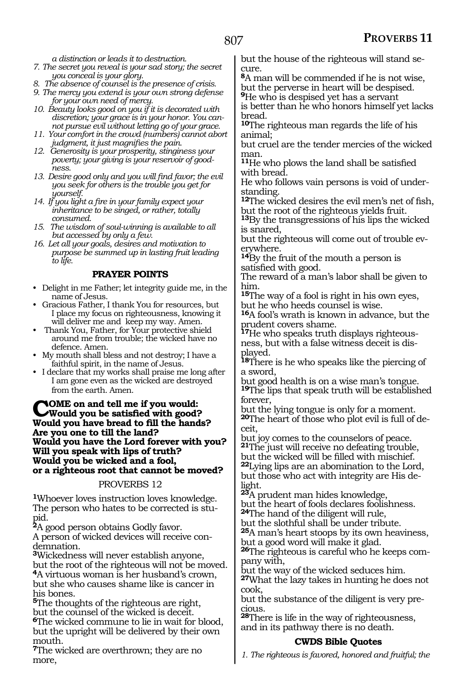*a distinction or leads it to destruction.*

*7. The secret you reveal is your sad story; the secret you conceal is your glory.*

*8. The absence of counsel is the presence of crisis.*

*9. The mercy you extend is your own strong defense for your own need of mercy.*

*10. Beauty looks good on you if it is decorated with discretion; your grace is in your honor. You cannot pursue evil without letting go of your grace.*

*11. Your comfort in the crowd (numbers) cannot abort judgment, it just magnifies the pain.*

*12. Generosity is your prosperity, stinginess your poverty; your giving is your reservoir of goodness.*

*13. Desire good only and you will find favor; the evil you seek for others is the trouble you get for yourself.*

*14. If you light a fire in your family expect your inheritance to be singed, or rather, totally consumed.*

*15. The wisdom of soul-winning is available to all but accessed by only a few.*

*16. Let all your goals, desires and motivation to purpose be summed up in lasting fruit leading to life.*

## **PRAYER POINTS**

• Delight in me Father; let integrity guide me, in the name of Jesus.

• Gracious Father, I thank You for resources, but I place my focus on righteousness, knowing it will deliver me and keep my way. Amen.

• Thank You, Father, for Your protective shield around me from trouble; the wicked have no defence. Amen.

• My mouth shall bless and not destroy; I have a faithful spirit, in the name of Jesus.

• I declare that my works shall praise me long after I am gone even as the wicked are destroyed from the earth. Amen.

## **COME on and tell me if you would:**<br>Would you be satisfied with good?<br>Would you have knowl to fill the hand. **Would you have bread to fill the hands? Are you one to till the land? Would you have the Lord forever with you? Will you speak with lips of truth? Would you be wicked and a fool, or a righteous root that cannot be moved?**

## PROVERBS 12

**<sup>1</sup>**Whoever loves instruction loves knowledge. The person who hates to be corrected is stupid.

**<sup>2</sup>**A good person obtains Godly favor.

A person of wicked devices will receive condemnation.

**<sup>3</sup>**Wickedness will never establish anyone, but the root of the righteous will not be moved.

**<sup>4</sup>**A virtuous woman is her husband's crown, but she who causes shame like is cancer in his bones.

**<sup>5</sup>**The thoughts of the righteous are right, but the counsel of the wicked is deceit. **<sup>6</sup>**The wicked commune to lie in wait for blood, but the upright will be delivered by their own mouth.

**<sup>7</sup>**The wicked are overthrown; they are no more,

but the house of the righteous will stand secure.

**<sup>8</sup>**A man will be commended if he is not wise, but the perverse in heart will be despised. **<sup>9</sup>**He who is despised yet has a servant

is better than he who honors himself yet lacks bread.

**<sup>10</sup>**The righteous man regards the life of his animal;

but cruel are the tender mercies of the wicked man.

**<sup>11</sup>**He who plows the land shall be satisfied with bread.

He who follows vain persons is void of understanding.

**<sup>12</sup>**The wicked desires the evil men's net of fish, but the root of the righteous yields fruit.

**<sup>13</sup>**By the transgressions of his lips the wicked is snared,

but the righteous will come out of trouble everywhere.

**<sup>14</sup>**By the fruit of the mouth a person is satisfied with good.

The reward of a man's labor shall be given to him.

**<sup>15</sup>**The way of a fool is right in his own eyes, but he who heeds counsel is wise.

**<sup>16</sup>**A fool's wrath is known in advance, but the prudent covers shame.

**17**He who speaks truth displays righteousness, but with a false witness deceit is displayed.

**<sup>18</sup>**There is he who speaks like the piercing of a sword,

but good health is on a wise man's tongue.

**<sup>19</sup>**The lips that speak truth will be established forever,

but the lying tongue is only for a moment. **20**The heart of those who plot evil is full of de-

but joy comes to the counselors of peace. **<sup>21</sup>**The just will receive no defeating trouble, but the wicked will be filled with mischief. **<sup>22</sup>**Lying lips are an abomination to the Lord,

but those who act with integrity are His delight.

**<sup>23</sup>**A prudent man hides knowledge, but the heart of fools declares foolishness.

**<sup>24</sup>**The hand of the diligent will rule,

but the slothful shall be under tribute. **<sup>25</sup>**A man's heart stoops by its own heaviness, but a good word will make it glad.

**26**The righteous is careful who he keeps company with,

but the way of the wicked seduces him.

**<sup>27</sup>**What the lazy takes in hunting he does not cook,

but the substance of the diligent is very precious.

**<sup>28</sup>**There is life in the way of righteousness, and in its pathway there is no death.

## **CWDS Bible Quotes**

*1. The righteous is favored, honored and fruitful; the*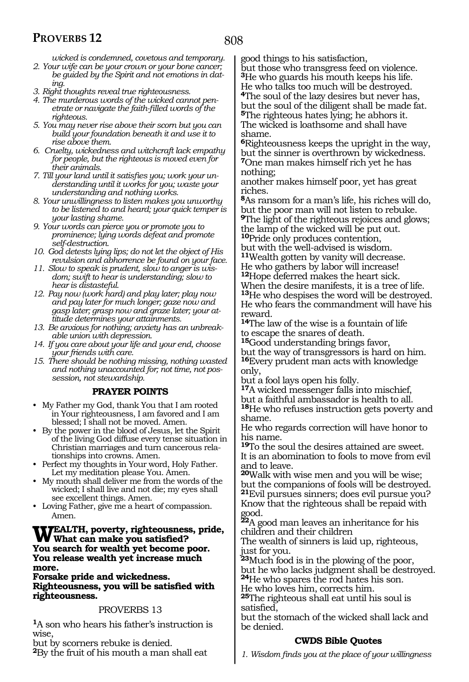*wicked is condemned, covetous and temporary. 2. Your wife can be your crown or your bone cancer;* 

*be guided by the Spirit and not emotions in dating.*

- *3. Right thoughts reveal true righteousness.*
- *4. The murderous words of the wicked cannot penetrate or navigate the faith-filled words of the righteous.*
- *5. You may never rise above their scorn but you can build your foundation beneath it and use it to rise above them.*
- *6. Cruelty, wickedness and witchcraft lack empathy for people, but the righteous is moved even for their animals.*
- *7. Till your land until it satisfies you; work your understanding until it works for you; waste your understanding and nothing works.*
- *8. Your unwillingness to listen makes you unworthy to be listened to and heard; your quick temper is your lasting shame.*
- *9. Your words can pierce you or promote you to prominence; lying words defeat and promote self-destruction.*
- *10. God detests lying lips; do not let the object of His revulsion and abhorrence be found on your face.*
- *11. Slow to speak is prudent, slow to anger is wisdom; swift to hear is understanding; slow to hear is distasteful.*
- *12. Pay now (work hard) and play later; play now and pay later for much longer; gaze now and gasp later; grasp now and graze later; your attitude determines your attainments.*
- *13. Be anxious for nothing; anxiety has an unbreakable union with depression.*
- *14. If you care about your life and your end, choose your friends with care.*
- *15. There should be nothing missing, nothing wasted and nothing unaccounted for; not time, not possession, not stewardship.*

## **PRAYER POINTS**

- My Father my God, thank You that I am rooted in Your righteousness, I am favored and I am blessed; I shall not be moved. Amen.
- By the power in the blood of Jesus, let the Spirit of the living God diffuse every tense situation in Christian marriages and turn cancerous relationships into crowns. Amen.
- Perfect my thoughts in Your word, Holy Father. Let my meditation please You. Amen.
- My mouth shall deliver me from the words of the wicked; I shall live and not die; my eyes shall see excellent things. Amen.
- Loving Father, give me a heart of compassion. Amen.

## **Wealth, poverty, righteousness, pride, What can make you satisfied? You search for wealth yet become poor. You release wealth yet increase much more.**

**Forsake pride and wickedness. Righteousness, you will be satisfied with righteousness.**

## PROVERBS 13

**<sup>1</sup>**A son who hears his father's instruction is wise,

but by scorners rebuke is denied.

**<sup>2</sup>**By the fruit of his mouth a man shall eat

good things to his satisfaction,

but those who transgress feed on violence. **<sup>3</sup>**He who guards his mouth keeps his life. He who talks too much will be destroyed. **<sup>4</sup>**The soul of the lazy desires but never has, but the soul of the diligent shall be made fat. **<sup>5</sup>**The righteous hates lying; he abhors it. The wicked is loathsome and shall have shame.

**<sup>6</sup>**Righteousness keeps the upright in the way, but the sinner is overthrown by wickedness. **<sup>7</sup>**One man makes himself rich yet he has

nothing;

another makes himself poor, yet has great riches.

**<sup>8</sup>**As ransom for a man's life, his riches will do, but the poor man will not listen to rebuke. **<sup>9</sup>**The light of the righteous rejoices and glows; the lamp of the wicked will be put out.

**<sup>10</sup>**Pride only produces contention,

but with the well-advised is wisdom. **<sup>11</sup>**Wealth gotten by vanity will decrease.

He who gathers by labor will increase!

**<sup>12</sup>**Hope deferred makes the heart sick. When the desire manifests, it is a tree of life. **<sup>13</sup>**He who despises the word will be destroyed. He who fears the commandment will have his reward.

**<sup>14</sup>**The law of the wise is a fountain of life to escape the snares of death.

**<sup>15</sup>**Good understanding brings favor, but the way of transgressors is hard on him.

**<sup>16</sup>**Every prudent man acts with knowledge only,

but a fool lays open his folly.

**<sup>17</sup>**A wicked messenger falls into mischief, but a faithful ambassador is health to all. **<sup>18</sup>**He who refuses instruction gets poverty and shame.

He who regards correction will have honor to his name.

**<sup>19</sup>**To the soul the desires attained are sweet. It is an abomination to fools to move from evil and to leave.

**<sup>20</sup>**Walk with wise men and you will be wise; but the companions of fools will be destroyed. **<sup>21</sup>**Evil pursues sinners; does evil pursue you? Know that the righteous shall be repaid with good.

**<sup>22</sup>**A good man leaves an inheritance for his children and their children

The wealth of sinners is laid up, righteous, just for you.

**<sup>23</sup>**Much food is in the plowing of the poor, but he who lacks judgment shall be destroyed. **<sup>24</sup>**He who spares the rod hates his son.

He who loves him, corrects him.

**<sup>25</sup>**The righteous shall eat until his soul is satisfied,

but the stomach of the wicked shall lack and be denied.

## **CWDS Bible Quotes**

*1. Wisdom finds you at the place of your willingness*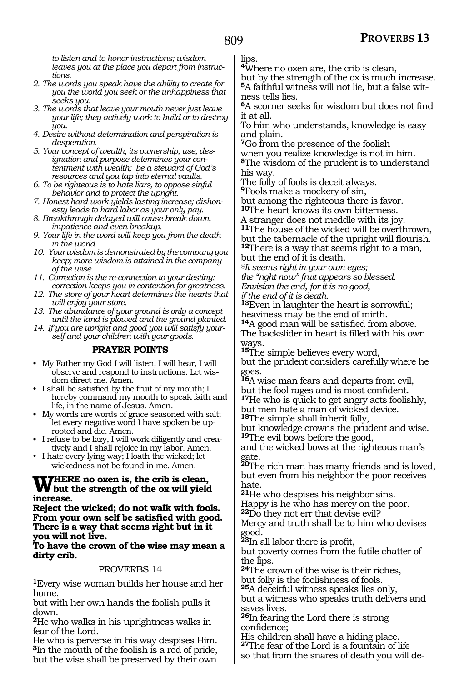*to listen and to honor instructions; wisdom leaves you at the place you depart from instructions.*

- *2. The words you speak have the ability to create for you the world you seek or the unhappiness that seeks you.*
- *3. The words that leave your mouth never just leave your life; they actively work to build or to destroy you.*
- *4. Desire without determination and perspiration is desperation.*
- *5. Your concept of wealth, its ownership, use, designation and purpose determines your contentment with wealth; be a steward of God's resources and you tap into eternal vaults.*
- *6. To be righteous is to hate liars, to oppose sinful behavior and to protect the upright.*

*7. Honest hard work yields lasting increase; dishonesty leads to hard labor as your only pay.*

- *8. Breakthrough delayed will cause break down, impatience and even breakup.*
- *9. Your life in the word will keep you from the death in the world.*
- *10. Your wisdom is demonstrated by the company you keep; more wisdom is attained in the company of the wise.*
- *11. Correction is the re-connection to your destiny;*
- *correction keeps you in contention for greatness. 12. The store of your heart determines the hearts that will enjoy your store.*
- *13. The abundance of your ground is only a concept until the land is plowed and the ground planted.*
- *14. If you are upright and good you will satisfy yourself and your children with your goods.*

## **PRAYER POINTS**

• My Father my God I will listen, I will hear, I will observe and respond to instructions. Let wisdom direct me. Amen.

- I shall be satisfied by the fruit of my mouth; I hereby command my mouth to speak faith and life, in the name of Jesus. Amen.
- My words are words of grace seasoned with salt; let every negative word I have spoken be uprooted and die. Amen.
- I refuse to be lazy, I will work diligently and creatively and I shall rejoice in my labor. Amen.
- I hate every lying way; I loath the wicked; let wickedness not be found in me. Amen.

## **WHERE** no oxen is, the crib is clean,<br> **W** but the strength of the ox will yield **increase.**

**Reject the wicked; do not walk with fools. From your own self be satisfied with good. There is a way that seems right but in it you will not live.**

**To have the crown of the wise may mean a dirty crib.**

## PROVERBS 14

**<sup>1</sup>**Every wise woman builds her house and her home,

but with her own hands the foolish pulls it down.

**<sup>2</sup>**He who walks in his uprightness walks in fear of the Lord.

He who is perverse in his way despises Him. **<sup>3</sup>**In the mouth of the foolish is a rod of pride, but the wise shall be preserved by their own lips.

**<sup>4</sup>**Where no oxen are, the crib is clean,

but by the strength of the ox is much increase. **5**A faithful witness will not lie, but a false witness tells lies.

**<sup>6</sup>**A scorner seeks for wisdom but does not find it at all.

To him who understands, knowledge is easy and plain.

**<sup>7</sup>**Go from the presence of the foolish when you realize knowledge is not in him. **<sup>8</sup>**The wisdom of the prudent is to understand his way.

The folly of fools is deceit always. **<sup>9</sup>**Fools make a mockery of sin,

but among the righteous there is favor.

**<sup>10</sup>**The heart knows its own bitterness.

A stranger does not meddle with its joy. **<sup>11</sup>**The house of the wicked will be overthrown, but the tabernacle of the upright will flourish.

**<sup>12</sup>**There is a way that seems right to a man, but the end of it is death.

*@It seems right in your own eyes; the "right now" fruit appears so blessed. Envision the end, for it is no good, if the end of it is death.* 

**<sup>13</sup>**Even in laughter the heart is sorrowful; heaviness may be the end of mirth.

**<sup>14</sup>**A good man will be satisfied from above.

The backslider in heart is filled with his own ways.

**<sup>15</sup>**The simple believes every word, but the prudent considers carefully where he goes.

**<sup>16</sup>**A wise man fears and departs from evil, but the fool rages and is most confident. **<sup>17</sup>**He who is quick to get angry acts foolishly, but men hate a man of wicked device. **<sup>18</sup>**The simple shall inherit folly,

but knowledge crowns the prudent and wise. **<sup>19</sup>**The evil bows before the good,

and the wicked bows at the righteous man's gate.

**<sup>20</sup>**The rich man has many friends and is loved, but even from his neighbor the poor receives hate.

**<sup>21</sup>**He who despises his neighbor sins.

Happy is he who has mercy on the poor.

**<sup>22</sup>**Do they not err that devise evil?

Mercy and truth shall be to him who devises good.

**<sup>23</sup>**In all labor there is profit,

but poverty comes from the futile chatter of the lips.

**<sup>24</sup>**The crown of the wise is their riches, but folly is the foolishness of fools.

**<sup>25</sup>**A deceitful witness speaks lies only,

but a witness who speaks truth delivers and saves lives.

**<sup>26</sup>**In fearing the Lord there is strong confidence;

His children shall have a hiding place. **<sup>27</sup>**The fear of the Lord is a fountain of life so that from the snares of death you will de-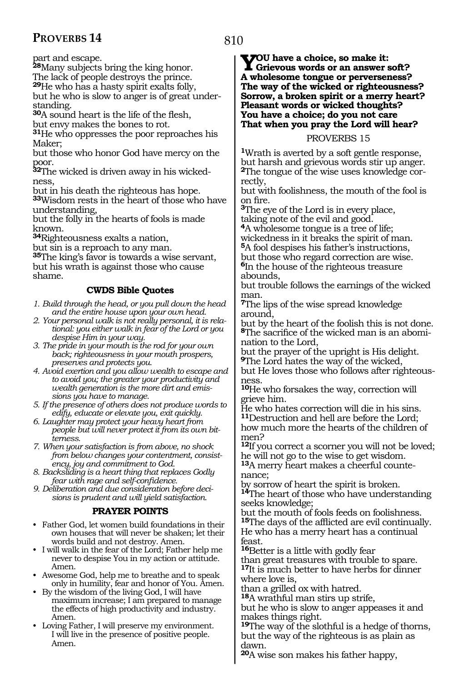part and escape.

**<sup>28</sup>**Many subjects bring the king honor.

The lack of people destroys the prince. **<sup>29</sup>**He who has a hasty spirit exalts folly,

but he who is slow to anger is of great under- standing.

**<sup>30</sup>**A sound heart is the life of the flesh,

but envy makes the bones to rot. **<sup>31</sup>**He who oppresses the poor reproaches his

Maker;

but those who honor God have mercy on the poor.

**32**The wicked is driven away in his wickedness,

but in his death the righteous has hope.

**<sup>33</sup>**Wisdom rests in the heart of those who have understanding,

but the folly in the hearts of fools is made known.

**<sup>34</sup>**Righteousness exalts a nation,

but sin is a reproach to any man.

**<sup>35</sup>**The king's favor is towards a wise servant, but his wrath is against those who cause shame.

## **CWDS Bible Quotes**

*1. Build through the head, or you pull down the head and the entire house upon your own head.*

*2. Your personal walk is not really personal, it is relational: you either walk in fear of the Lord or you despise Him in your way.*

*3. The pride in your mouth is the rod for your own back; righteousness in your mouth prospers, preserves and protects you.*

*4. Avoid exertion and you allow wealth to escape and to avoid you; the greater your productivity and wealth generation is the more dirt and emissions you have to manage.*

*5. If the presence of others does not produce words to edify, educate or elevate you, exit quickly.*

*6. Laughter may protect your heavy heart from people but will never protect it from its own bitterness.*

*7. When your satisfaction is from above, no shock from below changes your contentment, consistency, joy and commitment to God.*

*8. Backsliding is a heart thing that replaces Godly fear with rage and self-confidence.*

*9. Deliberation and due consideration before decisions is prudent and will yield satisfaction.*

## **PRAYER POINTS**

• Father God, let women build foundations in their own houses that will never be shaken; let their words build and not destroy. Amen.

• I will walk in the fear of the Lord; Father help me never to despise You in my action or attitude. Amen.

• Awesome God, help me to breathe and to speak only in humility, fear and honor of You. Amen.

• By the wisdom of the living God, I will have maximum increase; I am prepared to manage the effects of high productivity and industry. Amen.

• Loving Father, I will preserve my environment. I will live in the presence of positive people. Amen.

**You have a choice, so make it: Grievous words or an answer soft? A wholesome tongue or perverseness? The way of the wicked or righteousness? Sorrow, a broken spirit or a merry heart? Pleasant words or wicked thoughts? You have a choice; do you not care That when you pray the Lord will hear?**

## PROVERBS 15

**<sup>1</sup>**Wrath is averted by a soft gentle response, but harsh and grievous words stir up anger. **2**The tongue of the wise uses knowledge correctly,

but with foolishness, the mouth of the fool is on fire.

**<sup>3</sup>**The eye of the Lord is in every place, taking note of the evil and good.

**<sup>4</sup>**A wholesome tongue is a tree of life;

wickedness in it breaks the spirit of man. **<sup>5</sup>**A fool despises his father's instructions, but those who regard correction are wise.

**<sup>6</sup>**In the house of the righteous treasure abounds,

but trouble follows the earnings of the wicked man.

**<sup>7</sup>**The lips of the wise spread knowledge around,

but by the heart of the foolish this is not done. **8**The sacrifice of the wicked man is an abomination to the Lord,

but the prayer of the upright is His delight. **<sup>9</sup>**The Lord hates the way of the wicked,

but He loves those who follows after righteousness.

**<sup>10</sup>**He who forsakes the way, correction will grieve him.

He who hates correction will die in his sins. **<sup>11</sup>**Destruction and hell are before the Lord; how much more the hearts of the children of men?

**<sup>12</sup>**If you correct a scorner you will not be loved; he will not go to the wise to get wisdom.

**13**A merry heart makes a cheerful countenance;

by sorrow of heart the spirit is broken. **<sup>14</sup>**The heart of those who have understanding seeks knowledge;

but the mouth of fools feeds on foolishness. **<sup>15</sup>**The days of the afflicted are evil continually. He who has a merry heart has a continual feast.

**<sup>16</sup>**Better is a little with godly fear

than great treasures with trouble to spare. **<sup>17</sup>**It is much better to have herbs for dinner where love is,

than a grilled ox with hatred.

**<sup>18</sup>**A wrathful man stirs up strife,

but he who is slow to anger appeases it and makes things right.

**<sup>19</sup>**The way of the slothful is a hedge of thorns, but the way of the righteous is as plain as dawn.

**<sup>20</sup>**A wise son makes his father happy,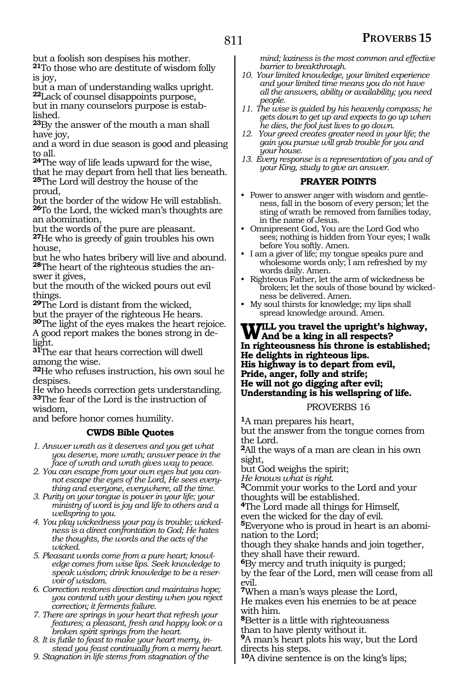but a foolish son despises his mother. **<sup>21</sup>**To those who are destitute of wisdom folly

is joy, but a man of understanding walks upright.

**<sup>22</sup>**Lack of counsel disappoints purpose, but in many counselors purpose is established.

**<sup>23</sup>**By the answer of the mouth a man shall have joy,

and a word in due season is good and pleasing

**24**The way of life leads upward for the wise, that he may depart from hell that lies beneath. **<sup>25</sup>**The Lord will destroy the house of the proud,

but the border of the widow He will establish. **<sup>26</sup>**To the Lord, the wicked man's thoughts are an abomination,

but the words of the pure are pleasant.

**<sup>27</sup>**He who is greedy of gain troubles his own house,

but he who hates bribery will live and abound. **28**The heart of the righteous studies the answer it gives,

but the mouth of the wicked pours out evil things.

**<sup>29</sup>**The Lord is distant from the wicked, but the prayer of the righteous He hears.

**<sup>30</sup>**The light of the eyes makes the heart rejoice. A good report makes the bones strong in delight.

**<sup>31</sup>**The ear that hears correction will dwell among the wise.

**<sup>32</sup>**He who refuses instruction, his own soul he despises.

He who heeds correction gets understanding. **<sup>33</sup>**The fear of the Lord is the instruction of wisdom,

and before honor comes humility.

## **CWDS Bible Quotes**

- *1. Answer wrath as it deserves and you get what you deserve, more wrath; answer peace in the face of wrath and wrath gives way to peace.*
- *2. You can escape from your own eyes but you cannot escape the eyes of the Lord, He sees everything and everyone, everywhere, all the time.*
- *3. Purity on your tongue is power in your life; your ministry of word is joy and life to others and a wellspring to you.*
- *4. You play wickedness your pay is trouble; wickedness is a direct confrontation to God; He hates the thoughts, the words and the acts of the wicked.*
- *5. Pleasant words come from a pure heart; knowledge comes from wise lips. Seek knowledge to speak wisdom; drink knowledge to be a reservoir of wisdom.*
- *6. Correction restores direction and maintains hope; you contend with your destiny when you reject correction; it ferments failure.*
- *7. There are springs in your heart that refresh your features; a pleasant, fresh and happy look or a broken spirit springs from the heart.*

*8. It is futile to feast to make your heart merry, instead you feast continually from a merry heart.*

*9. Stagnation in life stems from stagnation of the* 

*mind; laziness is the most common and effective barrier to breakthrough.*

- *10. Your limited knowledge, your limited experience and your limited time means you do not have all the answers, ability or availability; you need people.*
- *11. The wise is guided by his heavenly compass; he gets down to get up and expects to go up when he dies, the fool just lives to go down.*
- *12. Your greed creates greater need in your life; the gain you pursue will grab trouble for you and your house.*
- *13. Every response is a representation of you and of your King, study to give an answer.*

## **PRAYER POINTS**

- Power to answer anger with wisdom and gentleness, fall in the bosom of every person; let the sting of wrath be removed from families today, in the name of Jesus.
- Omnipresent God, You are the Lord God who sees; nothing is hidden from Your eyes; I walk before You softly. Amen.
- I am a giver of life; my tongue speaks pure and wholesome words only; I am refreshed by my words daily. Amen.
- Righteous Father, let the arm of wickedness be broken; let the souls of those bound by wickedness be delivered. Amen.
- My soul thirsts for knowledge; my lips shall spread knowledge around. Amen.

#### **Will you travel the upright's highway, And be a king in all respects? In righteousness his throne is established; He delights in righteous lips. His highway is to depart from evil, Pride, anger, folly and strife; He will not go digging after evil; Understanding is his wellspring of life.**

## PROVERBS 16

**<sup>1</sup>**A man prepares his heart, but the answer from the tongue comes from the Lord.

**<sup>2</sup>**All the ways of a man are clean in his own sight,

but God weighs the spirit;

*He knows what is right.* **3**Commit your works to the Lord and your thoughts will be established.

**<sup>4</sup>**The Lord made all things for Himself,

even the wicked for the day of evil.

**<sup>5</sup>**Everyone who is proud in heart is an abomi- nation to the Lord;

though they shake hands and join together, they shall have their reward.

**<sup>6</sup>**By mercy and truth iniquity is purged;

by the fear of the Lord, men will cease from all evil.

**<sup>7</sup>**When a man's ways please the Lord, He makes even his enemies to be at peace with him.

**<sup>8</sup>**Better is a little with righteousness than to have plenty without it.

**<sup>9</sup>**A man's heart plots his way, but the Lord directs his steps.

**<sup>10</sup>**A divine sentence is on the king's lips;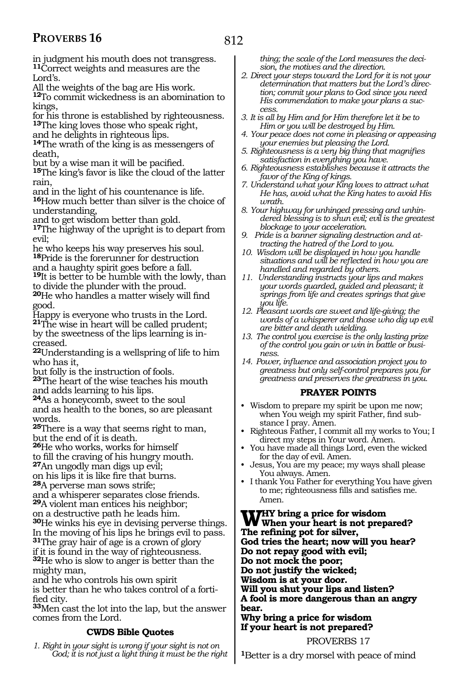812

in judgment his mouth does not transgress. **<sup>11</sup>**Correct weights and measures are the Lord's.

All the weights of the bag are His work.

**<sup>12</sup>**To commit wickedness is an abomination to kings,

for his throne is established by righteousness. **<sup>13</sup>**The king loves those who speak right,

and he delights in righteous lips.

**<sup>14</sup>**The wrath of the king is as messengers of death,

but by a wise man it will be pacified.

**<sup>15</sup>**The king's favor is like the cloud of the latter rain,

and in the light of his countenance is life. **<sup>16</sup>**How much better than silver is the choice of

understanding, and to get wisdom better than gold.

**17**The highway of the upright is to depart from evil;

he who keeps his way preserves his soul. **<sup>18</sup>**Pride is the forerunner for destruction and a haughty spirit goes before a fall.

**<sup>19</sup>**It is better to be humble with the lowly, than to divide the plunder with the proud.

**<sup>20</sup>**He who handles a matter wisely will find good.

Happy is everyone who trusts in the Lord. **<sup>21</sup>**The wise in heart will be called prudent; by the sweetness of the lips learning is in-

creased.

**<sup>22</sup>**Understanding is a wellspring of life to him who has it,

but folly is the instruction of fools.

**<sup>23</sup>**The heart of the wise teaches his mouth and adds learning to his lips.

**<sup>24</sup>**As a honeycomb, sweet to the soul and as health to the bones, so are pleasant

words. **<sup>25</sup>**There is a way that seems right to man,

 $^{26}$ He who works, works for himself to fill the craving of his hungry mouth. **<sup>27</sup>**An ungodly man digs up evil;

on his lips it is like fire that burns.

**<sup>28</sup>**A perverse man sows strife;

and a whisperer separates close friends. **<sup>29</sup>**A violent man entices his neighbor;

on a destructive path he leads him.

**<sup>30</sup>**He winks his eye in devising perverse things. In the moving of his lips he brings evil to pass. **<sup>31</sup>**The gray hair of age is a crown of glory if it is found in the way of righteousness.

**<sup>32</sup>**He who is slow to anger is better than the mighty man,

and he who controls his own spirit is better than he who takes control of a fortified city.

**<sup>33</sup>**Men cast the lot into the lap, but the answer comes from the Lord.

## **CWDS Bible Quotes**

*1. Right in your sight is wrong if your sight is not on God; it is not just a light thing it must be the right*  *thing; the scale of the Lord measures the decision, the motives and the direction.*

- *2. Direct your steps toward the Lord for it is not your determination that matters but the Lord's direction; commit your plans to God since you need His commendation to make your plans a success.*
- *3. It is all by Him and for Him therefore let it be to Him or you will be destroyed by Him.*
- *4. Your peace does not come in pleasing or appeasing your enemies but pleasing the Lord.*
- *5. Righteousness is a very big thing that magnifies satisfaction in everything you have.*
- *6. Righteousness establishes because it attracts the favor of the King of kings.*
- *7. Understand what your King loves to attract what He has, avoid what the King hates to avoid His wrath.*
- *8. Your highway for unhinged pressing and unhindered blessing is to shun evil; evil is the greatest blockage to your acceleration.*
- *9. Pride is a banner signaling destruction and attracting the hatred of the Lord to you.*
- *10. Wisdom will be displayed in how you handle situations and will be reflected in how you are handled and regarded by others.*
- *11. Understanding instructs your lips and makes your words guarded, guided and pleasant; it springs from life and creates springs that give you life.*
- *12. Pleasant words are sweet and life-giving; the words of a whisperer and those who dig up evil are bitter and death wielding.*
- *13. The control you exercise is the only lasting prize of the control you gain or win in battle or business.*
- *14. Power, influence and association project you to greatness but only self-control prepares you for greatness and preserves the greatness in you.*

## **PRAYER POINTS**

- Wisdom to prepare my spirit be upon me now; when You weigh my spirit Father, find substance I pray. Amen.
- Righteous Father, I commit all my works to You; I direct my steps in Your word. Amen.
- You have made all things Lord, even the wicked for the day of evil. Amen.
- Jesus, You are my peace; my ways shall please You always. Amen.
- I thank You Father for everything You have given to me; righteousness fills and satisfies me. Amen.

WHY bring a price for wisdom<br>When your heart is not prepared?<br>The metal-set for silver. **The refining pot for silver, God tries the heart; now will you hear? Do not repay good with evil; Do not mock the poor; Do not justify the wicked; Wisdom is at your door. Will you shut your lips and listen? A fool is more dangerous than an angry bear. Why bring a price for wisdom If your heart is not prepared?**

PROVERBS 17

**<sup>1</sup>**Better is a dry morsel with peace of mind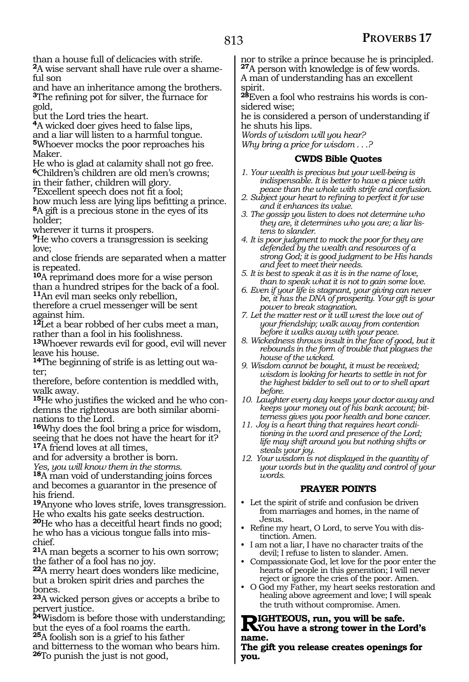than a house full of delicacies with strife. **2**A wise servant shall have rule over a shame $f$ ul son

and have an inheritance among the brothers. **<sup>3</sup>**The refining pot for silver, the furnace for gold,

but the Lord tries the heart.

**<sup>4</sup>**A wicked doer gives heed to false lips, and a liar will listen to a harmful tongue. **<sup>5</sup>**Whoever mocks the poor reproaches his Maker.

He who is glad at calamity shall not go free. **<sup>6</sup>**Children's children are old men's crowns; in their father, children will glory.

**<sup>7</sup>**Excellent speech does not fit a fool;

how much less are lying lips befitting a prince. **8**A gift is a precious stone in the eyes of its holder;

wherever it turns it prospers.

**<sup>9</sup>**He who covers a transgression is seeking love;

and close friends are separated when a matter is repeated.

**<sup>10</sup>**A reprimand does more for a wise person than a hundred stripes for the back of a fool. **<sup>11</sup>**An evil man seeks only rebellion,

therefore a cruel messenger will be sent against him.

**<sup>12</sup>**Let a bear robbed of her cubs meet a man, rather than a fool in his foolishness.

**<sup>13</sup>**Whoever rewards evil for good, evil will never leave his house.

**14**The beginning of strife is as letting out water;

therefore, before contention is meddled with, walk away.

**15**He who justifies the wicked and he who condemns the righteous are both similar abominations to the Lord.

**<sup>16</sup>**Why does the fool bring a price for wisdom, seeing that he does not have the heart for it? **<sup>17</sup>**A friend loves at all times,

and for adversity a brother is born.

*Yes, you will know them in the storms.* 

**<sup>18</sup>**A man void of understanding joins forces and becomes a guarantor in the presence of his friend.

**<sup>19</sup>**Anyone who loves strife, loves transgression. He who exalts his gate seeks destruction.

**<sup>20</sup>**He who has a deceitful heart finds no good; he who has a vicious tongue falls into mischief.

**<sup>21</sup>**A man begets a scorner to his own sorrow; the father of a fool has no joy.

**<sup>22</sup>**A merry heart does wonders like medicine, but a broken spirit dries and parches the bones.

**<sup>23</sup>**A wicked person gives or accepts a bribe to pervert justice.

**<sup>24</sup>**Wisdom is before those with understanding; but the eyes of a fool roams the earth. **<sup>25</sup>**A foolish son is a grief to his father

and bitterness to the woman who bears him. **<sup>26</sup>**To punish the just is not good,

nor to strike a prince because he is principled. **<sup>27</sup>**A person with knowledge is of few words.

A man of understanding has an excellent spirit.

**28**Even a fool who restrains his words is considered wise;

he is considered a person of understanding if he shuts his lips.

*Words of wisdom will you hear?* 

*Why bring a price for wisdom . . .?* 

## **CWDS Bible Quotes**

- *1. Your wealth is precious but your well-being is indispensable. It is better to have a piece with peace than the whole with strife and confusion.*
- *2. Subject your heart to refining to perfect it for use and it enhances its value.*
- *3. The gossip you listen to does not determine who they are, it determines who you are; a liar listens to slander.*
- *4. It is poor judgment to mock the poor for they are defended by the wealth and resources of a strong God; it is good judgment to be His hands and feet to meet their needs.*
- *5. It is best to speak it as it is in the name of love, than to speak what it is not to gain some love.*
- *6. Even if your life is stagnant, your giving can never be, it has the DNA of prosperity. Your gift is your power to break stagnation.*
- *7. Let the matter rest or it will wrest the love out of your friendship; walk away from contention before it walks away with your peace.*
- *8. Wickedness throws insult in the face of good, but it rebounds in the form of trouble that plagues the house of the wicked.*
- *9. Wisdom cannot be bought, it must be received; wisdom is looking for hearts to settle in not for the highest bidder to sell out to or to shell apart before.*
- *10. Laughter every day keeps your doctor away and keeps your money out of his bank account; bitterness gives you poor health and bone cancer.*
- *11. Joy is a heart thing that requires heart conditioning in the word and presence of the Lord; life may shift around you but nothing shifts or steals your joy.*
- *12. Your wisdom is not displayed in the quantity of your words but in the quality and control of your words.*

## **PRAYER POINTS**

- Let the spirit of strife and confusion be driven from marriages and homes, in the name of Jesus.
- Refine my heart, O Lord, to serve You with distinction. Amen.
- I am not a liar, I have no character traits of the devil; I refuse to listen to slander. Amen.
- Compassionate God, let love for the poor enter the hearts of people in this generation; I will never reject or ignore the cries of the poor. Amen.
- O God my Father, my heart seeks restoration and healing above agreement and love; I will speak the truth without compromise. Amen.

## **RIGHTEOUS, run, you will be safe.**<br> **RIGHTEOUS**, run, you will be safe. **name.**

**The gift you release creates openings for you.**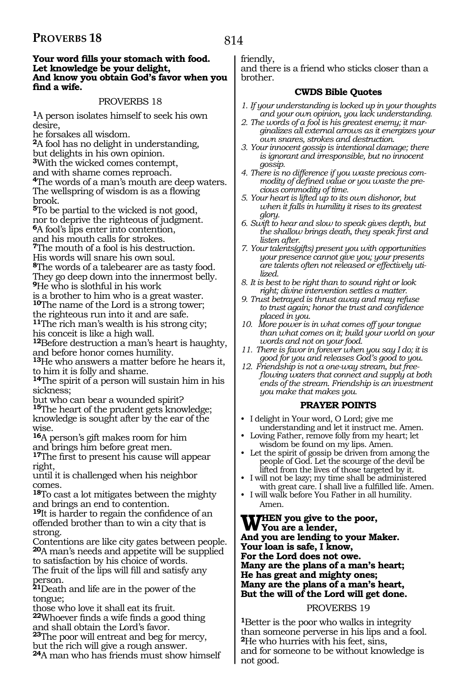#### **Your word fills your stomach with food. Let knowledge be your delight, And know you obtain God's favor when you find a wife.**

## PROVERBS 18

**<sup>1</sup>**A person isolates himself to seek his own desire,

he forsakes all wisdom.

**<sup>2</sup>**A fool has no delight in understanding, but delights in his own opinion.

**<sup>3</sup>**With the wicked comes contempt,

and with shame comes reproach.

**<sup>4</sup>**The words of a man's mouth are deep waters. The wellspring of wisdom is as a flowing brook.

**<sup>5</sup>**To be partial to the wicked is not good, nor to deprive the righteous of judgment. **<sup>6</sup>**A fool's lips enter into contention, and his mouth calls for strokes.

**<sup>7</sup>**The mouth of a fool is his destruction.

His words will snare his own soul.

**<sup>8</sup>**The words of a talebearer are as tasty food. They go deep down into the innermost belly. **<sup>9</sup>**He who is slothful in his work

is a brother to him who is a great waster. **<sup>10</sup>**The name of the Lord is a strong tower;

the righteous run into it and are safe. **<sup>11</sup>**The rich man's wealth is his strong city; his conceit is like a high wall.

**<sup>12</sup>**Before destruction a man's heart is haughty, and before honor comes humility.

**<sup>13</sup>**He who answers a matter before he hears it, to him it is folly and shame.

**<sup>14</sup>**The spirit of a person will sustain him in his sickness;

but who can bear a wounded spirit?

**<sup>15</sup>**The heart of the prudent gets knowledge; knowledge is sought after by the ear of the wise.

**<sup>16</sup>**A person's gift makes room for him and brings him before great men.

**<sup>17</sup>**The first to present his cause will appear right,

until it is challenged when his neighbor comes.

**<sup>18</sup>**To cast a lot mitigates between the mighty and brings an end to contention.

**<sup>19</sup>**It is harder to regain the confidence of an offended brother than to win a city that is strong.

Contentions are like city gates between people. **<sup>20</sup>**A man's needs and appetite will be supplied to satisfaction by his choice of words.

The fruit of the lips will fill and satisfy any person.

**<sup>21</sup>**Death and life are in the power of the tongue;

those who love it shall eat its fruit.

**<sup>22</sup>**Whoever finds a wife finds a good thing and shall obtain the Lord's favor.

**<sup>23</sup>**The poor will entreat and beg for mercy, but the rich will give a rough answer. **<sup>24</sup>**A man who has friends must show himself

## friendly,

and there is a friend who sticks closer than a brother.

## **CWDS Bible Quotes**

- *1. If your understanding is locked up in your thoughts and your own opinion, you lack understanding.*
- *2. The words of a fool is his greatest enemy; it marginalizes all external arrows as it energizes your own snares, strokes and destruction.*
- *3. Your innocent gossip is intentional damage; there is ignorant and irresponsible, but no innocent gossip.*
- *4. There is no difference if you waste precious commodity of defined value or you waste the precious commodity of time.*
- *5. Your heart is lifted up to its own dishonor, but when it falls in humility it rises to its greatest glory.*
- *6. Swift to hear and slow to speak gives depth, but the shallow brings death, they speak first and listen after.*
- *7. Your talents(gifts) present you with opportunities your presence cannot give you; your presents are talents often not released or effectively utilized.*
- *8. It is best to be right than to sound right or look right; divine intervention settles a matter.*
- *9. Trust betrayed is thrust away and may refuse to trust again; honor the trust and confidence placed in you.*
- *10. More power is in what comes off your tongue than what comes on it; build your world on your words and not on your food.*
- *11. There is favor in forever when you say I do; it is good for you and releases God's good to you.*
- *12. Friendship is not a one-way stream, but freeflowing waters that connect and supply at both ends of the stream. Friendship is an investment you make that makes you.*

## **PRAYER POINTS**

- I delight in Your word, O Lord; give me understanding and let it instruct me. Amen.
- Loving Father, remove folly from my heart; let wisdom be found on my lips. Amen.
- Let the spirit of gossip be driven from among the people of God. Let the scourge of the devil be lifted from the lives of those targeted by it.
- I will not be lazy; my time shall be administered with great care. I shall live a fulfilled life. Amen.
- I will walk before You Father in all humility. Amen.

#### **THEN** you give to the poor, **You are a lender, And you are lending to your Maker. Your loan is safe, I know, For the Lord does not owe. Many are the plans of a man's heart; He has great and mighty ones; Many are the plans of a man's heart, But the will of the Lord will get done.**

## PROVERBS 19

**<sup>1</sup>**Better is the poor who walks in integrity than someone perverse in his lips and a fool. **<sup>2</sup>**He who hurries with his feet, sins, and for someone to be without knowledge is not good.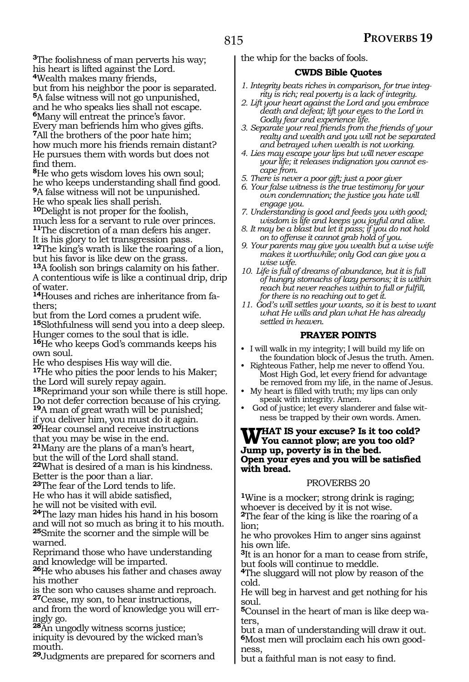**<sup>3</sup>**The foolishness of man perverts his way; his heart is lifted against the Lord. **<sup>4</sup>**Wealth makes many friends,

but from his neighbor the poor is separated.

**<sup>5</sup>**A false witness will not go unpunished, and he who speaks lies shall not escape.

**<sup>6</sup>**Many will entreat the prince's favor. Every man befriends him who gives gifts. **<sup>7</sup>**All the brothers of the poor hate him; how much more his friends remain distant? He pursues them with words but does not find them.

**<sup>8</sup>**He who gets wisdom loves his own soul; he who keeps understanding shall find good. **<sup>9</sup>**A false witness will not be unpunished. He who speak lies shall perish.

**<sup>10</sup>**Delight is not proper for the foolish, much less for a servant to rule over princes. **<sup>11</sup>**The discretion of a man defers his anger.

It is his glory to let transgression pass. **<sup>12</sup>**The king's wrath is like the roaring of a lion, but his favor is like dew on the grass.

**<sup>13</sup>**A foolish son brings calamity on his father.

A contentious wife is like a continual drip, drip of water.

**<sup>14</sup>**Houses and riches are inheritance from fa- thers;

but from the Lord comes a prudent wife.

**<sup>15</sup>**Slothfulness will send you into a deep sleep. Hunger comes to the soul that is idle.

**<sup>16</sup>**He who keeps God's commands keeps his own soul.

He who despises His way will die.

**<sup>17</sup>**He who pities the poor lends to his Maker; the Lord will surely repay again.

**<sup>18</sup>**Reprimand your son while there is still hope. Do not defer correction because of his crying.

**<sup>19</sup>**A man of great wrath will be punished; if you deliver him, you must do it again.

**<sup>20</sup>**Hear counsel and receive instructions

that you may be wise in the end.

**<sup>21</sup>**Many are the plans of a man's heart, but the will of the Lord shall stand.

**<sup>22</sup>**What is desired of a man is his kindness. Better is the poor than a liar.

**<sup>23</sup>**The fear of the Lord tends to life. He who has it will abide satisfied, he will not be visited with evil.

**<sup>24</sup>**The lazy man hides his hand in his bosom and will not so much as bring it to his mouth. **<sup>25</sup>**Smite the scorner and the simple will be warned.

Reprimand those who have understanding and knowledge will be imparted.

**<sup>26</sup>**He who abuses his father and chases away his mother

is the son who causes shame and reproach. **<sup>27</sup>**Cease, my son, to hear instructions,

and from the word of knowledge you will erringly go.

**<sup>28</sup>**An ungodly witness scorns justice; iniquity is devoured by the wicked man's mouth.

**<sup>29</sup>**Judgments are prepared for scorners and

the whip for the backs of fools.

## **CWDS Bible Quotes**

- *1. Integrity beats riches in comparison, for true integrity is rich; real poverty is a lack of integrity.*
- *2. Lift your heart against the Lord and you embrace death and defeat; lift your eyes to the Lord in Godly fear and experience life.*
- *3. Separate your real friends from the friends of your realty and wealth and you will not be separated and betrayed when wealth is not working.*
- *4. Lies may escape your lips but will never escape your life; it releases indignation you cannot escape from.*
- *5. There is never a poor gift; just a poor giver*
- *6. Your false witness is the true testimony for your own condemnation; the justice you hate will engage you.*
- *7. Understanding is good and feeds you with good; wisdom is life and keeps you joyful and alive.*
- *8. It may be a blast but let it pass; if you do not hold on to offense it cannot grab hold of you.*
- *9. Your parents may give you wealth but a wise wife makes it worthwhile; only God can give you a wise wife.*
- *10. Life is full of dreams of abundance, but it is full of hungry stomachs of lazy persons; it is within reach but never reaches within to full or fulfill, for there is no reaching out to get it.*
- *11. God's will settles your wants, so it is best to want what He wills and plan what He has already settled in heaven.*

## **PRAYER POINTS**

- I will walk in my integrity; I will build my life on the foundation block of Jesus the truth. Amen.
- Righteous Father, help me never to offend You. Most High God, let every friend for advantage be removed from my life, in the name of Jesus.
- My heart is filled with truth; my lips can only speak with integrity. Amen.
- God of justice; let every slanderer and false witness be trapped by their own words. Amen.

## **What is your excuse? Is it too cold? You cannot plow; are you too old? Jump up, poverty is in the bed. Open your eyes and you will be satisfied with bread.**

## PROVERBS 20

**<sup>1</sup>**Wine is a mocker; strong drink is raging; whoever is deceived by it is not wise. **<sup>2</sup>**The fear of the king is like the roaring of a lion;

he who provokes Him to anger sins against his own life.

**<sup>3</sup>**It is an honor for a man to cease from strife, but fools will continue to meddle.

**<sup>4</sup>**The sluggard will not plow by reason of the cold.

He will beg in harvest and get nothing for his soul.

**5**Counsel in the heart of man is like deep waters,

but a man of understanding will draw it out. **6**Most men will proclaim each his own goodness,

but a faithful man is not easy to find.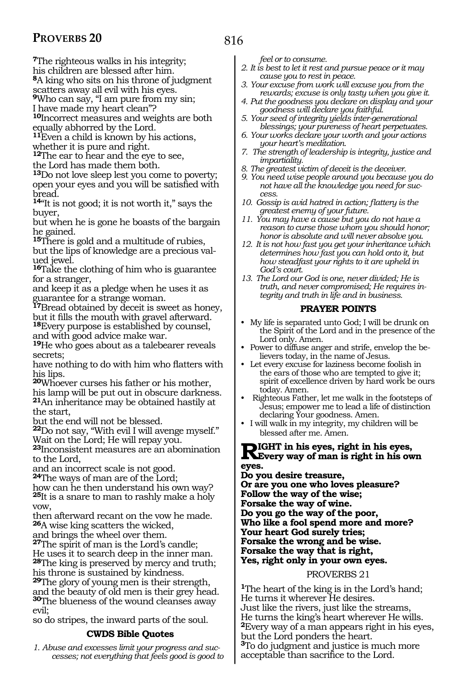**<sup>7</sup>**The righteous walks in his integrity;

his children are blessed after him.

**<sup>8</sup>**A king who sits on his throne of judgment

scatters away all evil with his eyes.

**<sup>9</sup>**Who can say, "I am pure from my sin;

I have made my heart clean"?

**<sup>10</sup>**Incorrect measures and weights are both equally abhorred by the Lord.

**<sup>11</sup>**Even a child is known by his actions,

whether it is pure and right.

**<sup>12</sup>**The ear to hear and the eye to see, the Lord has made them both.

**<sup>13</sup>**Do not love sleep lest you come to poverty; open your eyes and you will be satisfied with bread.

**<sup>14</sup>**"It is not good; it is not worth it," says the buyer,

but when he is gone he boasts of the bargain he gained.

**<sup>15</sup>**There is gold and a multitude of rubies, but the lips of knowledge are a precious valued jewel.

**<sup>16</sup>**Take the clothing of him who is guarantee for a stranger,

and keep it as a pledge when he uses it as guarantee for a strange woman.

**<sup>17</sup>**Bread obtained by deceit is sweet as honey, but it fills the mouth with gravel afterward. **<sup>18</sup>**Every purpose is established by counsel,

and with good advice make war.

**<sup>19</sup>**He who goes about as a talebearer reveals secrets;

have nothing to do with him who flatters with his lips.

**<sup>20</sup>**Whoever curses his father or his mother, his lamp will be put out in obscure darkness. **<sup>21</sup>**An inheritance may be obtained hastily at the start,

but the end will not be blessed.

**<sup>22</sup>**Do not say, "With evil I will avenge myself." Wait on the Lord; He will repay you.

**<sup>23</sup>**Inconsistent measures are an abomination to the Lord,

and an incorrect scale is not good.

**<sup>24</sup>**The ways of man are of the Lord;

how can he then understand his own way? **<sup>25</sup>**It is a snare to man to rashly make a holy vow,

then afterward recant on the vow he made. **<sup>26</sup>**A wise king scatters the wicked,

and brings the wheel over them.

**<sup>27</sup>**The spirit of man is the Lord's candle;

He uses it to search deep in the inner man. **<sup>28</sup>**The king is preserved by mercy and truth; his throne is sustained by kindness.

**<sup>29</sup>**The glory of young men is their strength, and the beauty of old men is their grey head. **<sup>30</sup>**The blueness of the wound cleanses away evil;

so do stripes, the inward parts of the soul.

## **CWDS Bible Quotes**

*1. Abuse and excesses limit your progress and successes; not everything that feels good is good to*  *feel or to consume.*

- *2. It is best to let it rest and pursue peace or it may cause you to rest in peace.*
- *3. Your excuse from work will excuse you from the rewards; excuse is only tasty when you give it.*
- *4. Put the goodness you declare on display and your goodness will declare you faithful.*
- *5. Your seed of integrity yields inter-generational blessings; your pureness of heart perpetuates.*
- *6. Your works declare your worth and your actions your heart's meditation.*
- *7. The strength of leadership is integrity, justice and impartiality.*
- *8. The greatest victim of deceit is the deceiver.*
- *9. You need wise people around you because you do not have all the knowledge you need for success.*
- *10. Gossip is avid hatred in action; flattery is the greatest enemy of your future.*
- *11. You may have a cause but you do not have a reason to curse those whom you should honor; honor is absolute and will never absolve you.*
- *12. It is not how fast you get your inheritance which determines how fast you can hold onto it, but how steadfast your rights to it are upheld in God's court.*
- *13. The Lord our God is one, never divided; He is truth, and never compromised; He requires integrity and truth in life and in business.*

## **PRAYER POINTS**

- My life is separated unto God; I will be drunk on the Spirit of the Lord and in the presence of the Lord only. Amen.
- Power to diffuse anger and strife, envelop the believers today, in the name of Jesus.
- Let every excuse for laziness become foolish in the ears of those who are tempted to give it; spirit of excellence driven by hard work be ours today. Amen.
- Righteous Father, let me walk in the footsteps of Jesus; empower me to lead a life of distinction declaring Your goodness. Amen.
- I will walk in my integrity, my children will be blessed after me. Amen.

## **Right in his eyes, right in his eyes, Every way of man is right in his own eyes.**

**Do you desire treasure, Or are you one who loves pleasure? Follow the way of the wise; Forsake the way of wine. Do you go the way of the poor, Who like a fool spend more and more? Your heart God surely tries; Forsake the wrong and be wise. Forsake the way that is right, Yes, right only in your own eyes.**

## PROVERBS 21

**<sup>1</sup>**The heart of the king is in the Lord's hand; He turns it wherever He desires. Just like the rivers, just like the streams, He turns the king's heart wherever He wills. **<sup>2</sup>**Every way of a man appears right in his eyes, but the Lord ponders the heart. **<sup>3</sup>**To do judgment and justice is much more acceptable than sacrifice to the Lord.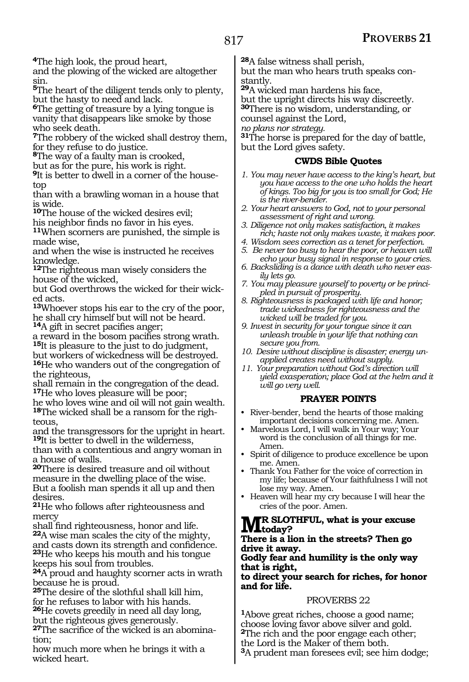**<sup>4</sup>**The high look, the proud heart,

and the plowing of the wicked are altogether sin.

**<sup>5</sup>**The heart of the diligent tends only to plenty, but the hasty to need and lack.

**<sup>6</sup>**The getting of treasure by a lying tongue is vanity that disappears like smoke by those who seek death.

**<sup>7</sup>**The robbery of the wicked shall destroy them, for they refuse to do justice.

**<sup>8</sup>**The way of a faulty man is crooked,

but as for the pure, his work is right.

**<sup>9</sup>**It is better to dwell in a corner of the house- top

than with a brawling woman in a house that is wide.

**<sup>10</sup>**The house of the wicked desires evil;

his neighbor finds no favor in his eyes. **<sup>11</sup>**When scorners are punished, the simple is

made wise, and when the wise is instructed he receives knowledge.

**<sup>12</sup>**The righteous man wisely considers the house of the wicked,

but God overthrows the wicked for their wicked acts.

**<sup>13</sup>**Whoever stops his ear to the cry of the poor, he shall cry himself but will not be heard. **<sup>14</sup>**A gift in secret pacifies anger;

a reward in the bosom pacifies strong wrath. **<sup>15</sup>**It is pleasure to the just to do judgment,

but workers of wickedness will be destroyed. **<sup>16</sup>**He who wanders out of the congregation of the righteous,

shall remain in the congregation of the dead. **<sup>17</sup>**He who loves pleasure will be poor;

he who loves wine and oil will not gain wealth. **18**The wicked shall be a ransom for the righteous.

and the transgressors for the upright in heart. **<sup>19</sup>**It is better to dwell in the wilderness,

than with a contentious and angry woman in a house of walls.

**<sup>20</sup>**There is desired treasure and oil without measure in the dwelling place of the wise. But a foolish man spends it all up and then desires.

**<sup>21</sup>**He who follows after righteousness and mercy

shall find righteousness, honor and life. **<sup>22</sup>**A wise man scales the city of the mighty, and casts down its strength and confidence. **<sup>23</sup>**He who keeps his mouth and his tongue keeps his soul from troubles.

**<sup>24</sup>**A proud and haughty scorner acts in wrath because he is proud.

**<sup>25</sup>**The desire of the slothful shall kill him, for he refuses to labor with his hands. **<sup>26</sup>**He covets greedily in need all day long, but the righteous gives generously.

**27**The sacrifice of the wicked is an abomination;

how much more when he brings it with a wicked heart.

**<sup>28</sup>**A false witness shall perish,

but the man who hears truth speaks constantly.

**<sup>29</sup>**A wicked man hardens his face,

but the upright directs his way discreetly. **<sup>30</sup>**There is no wisdom, understanding, or

counsel against the Lord, *no plans nor strategy.*

**<sup>31</sup>**The horse is prepared for the day of battle, but the Lord gives safety.

## **CWDS Bible Quotes**

- *1. You may never have access to the king's heart, but you have access to the one who holds the heart of kings. Too big for you is too small for God; He is the river-bender.*
- *2. Your heart answers to God, not to your personal assessment of right and wrong.*
- *3. Diligence not only makes satisfaction, it makes rich; haste not only makes waste, it makes poor.*
- *4. Wisdom sees correction as a tenet for perfection.*
- *5. Be never too busy to hear the poor, or heaven will echo your busy signal in response to your cries.*
- *6. Backsliding is a dance with death who never easily lets go.*
- *7. You may pleasure yourself to poverty or be principled in pursuit of prosperity.*
- *8. Righteousness is packaged with life and honor; trade wickedness for righteousness and the wicked will be traded for you.*
- *9. Invest in security for your tongue since it can unleash trouble in your life that nothing can secure you from.*
- *10. Desire without discipline is disaster; energy unapplied creates need without supply.*
- *11. Your preparation without God's direction will yield exasperation; place God at the helm and it will go very well.*

## **PRAYER POINTS**

- River-bender, bend the hearts of those making important decisions concerning me. Amen.
- Marvelous Lord, I will walk in Your way; Your word is the conclusion of all things for me. Amen.
- Spirit of diligence to produce excellence be upon me. Amen.
- Thank You Father for the voice of correction in my life; because of Your faithfulness I will not lose my way. Amen.
- Heaven will hear my cry because I will hear the cries of the poor. Amen.

## **Mr Slothful, what is your excuse**   $IVL_{\text{today}}$

#### **There is a lion in the streets? Then go drive it away.**

## **Godly fear and humility is the only way that is right,**

**to direct your search for riches, for honor and for life.**

## PROVERBS 22

**<sup>1</sup>**Above great riches, choose a good name; choose loving favor above silver and gold. **<sup>2</sup>**The rich and the poor engage each other; the Lord is the Maker of them both. **<sup>3</sup>**A prudent man foresees evil; see him dodge;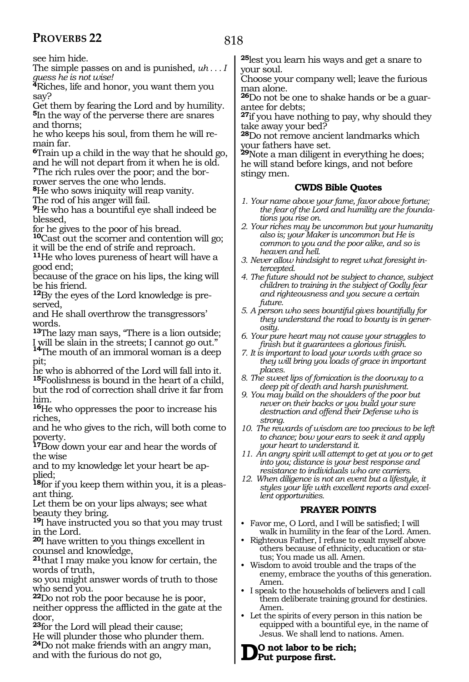see him hide.

The simple passes on and is punished, *uh . . . I guess he is not wise!* 

**<sup>4</sup>**Riches, life and honor, you want them you say?

Get them by fearing the Lord and by humility. **<sup>5</sup>**In the way of the perverse there are snares and thorns;

he who keeps his soul, from them he will remain far.

**<sup>6</sup>**Train up a child in the way that he should go, and he will not depart from it when he is old.

**7**The rich rules over the poor; and the borrower serves the one who lends.

**<sup>8</sup>**He who sows iniquity will reap vanity.

The rod of his anger will fail.

**<sup>9</sup>**He who has a bountiful eye shall indeed be blessed,

for he gives to the poor of his bread.

**<sup>10</sup>**Cast out the scorner and contention will go; it will be the end of strife and reproach.

**<sup>11</sup>**He who loves pureness of heart will have a good end;

because of the grace on his lips, the king will be his friend.

**12**By the eyes of the Lord knowledge is preserved,

and He shall overthrow the transgressors' words.

**<sup>13</sup>**The lazy man says, "There is a lion outside; I will be slain in the streets; I cannot go out."

**<sup>14</sup>**The mouth of an immoral woman is a deep pit;

he who is abhorred of the Lord will fall into it. **<sup>15</sup>**Foolishness is bound in the heart of a child, but the rod of correction shall drive it far from him.

**<sup>16</sup>**He who oppresses the poor to increase his riches,

and he who gives to the rich, will both come to poverty.

**<sup>17</sup>**Bow down your ear and hear the words of the wise

and to my knowledge let your heart be applied;

**18**for if you keep them within you, it is a pleasant thing.

Let them be on your lips always; see what beauty they bring.

**<sup>19</sup>**I have instructed you so that you may trust in the Lord.

**<sup>20</sup>**I have written to you things excellent in counsel and knowledge,

**<sup>21</sup>**that I may make you know for certain, the words of truth,

so you might answer words of truth to those who send you.

**<sup>22</sup>**Do not rob the poor because he is poor, neither oppress the afflicted in the gate at the door,

**<sup>23</sup>**for the Lord will plead their cause;

He will plunder those who plunder them. **<sup>24</sup>**Do not make friends with an angry man, and with the furious do not go,

**<sup>25</sup>**lest you learn his ways and get a snare to your soul.

Choose your company well; leave the furious man alone.

**26**Do not be one to shake hands or be a guarantee for debts;

**<sup>27</sup>**if you have nothing to pay, why should they take away your bed?

**<sup>28</sup>**Do not remove ancient landmarks which your fathers have set.

**<sup>29</sup>**Note a man diligent in everything he does; he will stand before kings, and not before stingy men.

## **CWDS Bible Quotes**

- *1. Your name above your fame, favor above fortune; the fear of the Lord and humility are the foundations you rise on.*
- *2. Your riches may be uncommon but your humanity also is; your Maker is uncommon but He is common to you and the poor alike, and so is heaven and hell.*
- *3. Never allow hindsight to regret what foresight intercepted.*
- *4. The future should not be subject to chance, subject children to training in the subject of Godly fear and righteousness and you secure a certain future.*
- *5. A person who sees bountiful gives bountifully for they understand the road to bounty is in generosity.*
- *6. Your pure heart may not cause your struggles to finish but it guarantees a glorious finish.*
- *7. It is important to load your words with grace so they will bring you loads of grace in important places.*
- *8. The sweet lips of fornication is the doorway to a deep pit of death and harsh punishment.*
- *9. You may build on the shoulders of the poor but never on their backs or you build your sure destruction and offend their Defense who is strong.*
- *10. The rewards of wisdom are too precious to be left to chance; bow your ears to seek it and apply your heart to understand it.*
- *11. An angry spirit will attempt to get at you or to get into you; distance is your best response and resistance to individuals who are carriers.*
- *12. When diligence is not an event but a lifestyle, it styles your life with excellent reports and excellent opportunities.*

## **PRAYER POINTS**

- Favor me, O Lord, and I will be satisfied; I will walk in humility in the fear of the Lord. Amen.
- Righteous Father, I refuse to exalt myself above others because of ethnicity, education or status; You made us all. Amen.
- Wisdom to avoid trouble and the traps of the enemy, embrace the youths of this generation. Amen.
- I speak to the households of believers and I call them deliberate training ground for destinies. Amen.
- Let the spirits of every person in this nation be equipped with a bountiful eye, in the name of Jesus. We shall lend to nations. Amen.

**Do not labor to be rich; Put purpose first.**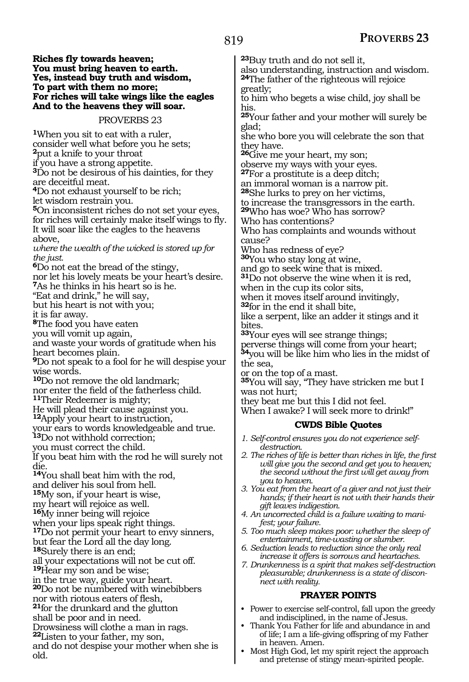#### **Riches fly towards heaven; You must bring heaven to earth. Yes, instead buy truth and wisdom, To part with them no more; For riches will take wings like the eagles And to the heavens they will soar.**

#### PROVERBS 23

**<sup>1</sup>**When you sit to eat with a ruler, consider well what before you he sets; **<sup>2</sup>**put a knife to your throat

if you have a strong appetite.

**<sup>3</sup>**Do not be desirous of his dainties, for they are deceitful meat.

**<sup>4</sup>**Do not exhaust yourself to be rich;

let wisdom restrain you.

**<sup>5</sup>**On inconsistent riches do not set your eyes, for riches will certainly make itself wings to fly. It will soar like the eagles to the heavens above,

*where the wealth of the wicked is stored up for the just.* 

**<sup>6</sup>**Do not eat the bread of the stingy,

nor let his lovely meats be your heart's desire. **<sup>7</sup>**As he thinks in his heart so is he.

"Eat and drink," he will say,

but his heart is not with you;

it is far away.

**<sup>8</sup>**The food you have eaten

you will vomit up again,

and waste your words of gratitude when his heart becomes plain.

**<sup>9</sup>**Do not speak to a fool for he will despise your wise words.

**<sup>10</sup>**Do not remove the old landmark;

nor enter the field of the fatherless child.

**<sup>11</sup>**Their Redeemer is mighty;

He will plead their cause against you.

**<sup>12</sup>**Apply your heart to instruction,

your ears to words knowledgeable and true.

**<sup>13</sup>**Do not withhold correction;

you must correct the child.

If you beat him with the rod he will surely not die.

**<sup>14</sup>**You shall beat him with the rod,

and deliver his soul from hell.

**<sup>15</sup>**My son, if your heart is wise, my heart will rejoice as well.

**<sup>16</sup>**My inner being will rejoice

when your lips speak right things.

**<sup>17</sup>**Do not permit your heart to envy sinners,

but fear the Lord all the day long.

**<sup>18</sup>**Surely there is an end;

all your expectations will not be cut off.

**<sup>19</sup>**Hear my son and be wise;

in the true way, guide your heart.

**<sup>20</sup>**Do not be numbered with winebibbers

nor with riotous eaters of flesh, **<sup>21</sup>**for the drunkard and the glutton

shall be poor and in need.

Drowsiness will clothe a man in rags.

**<sup>22</sup>**Listen to your father, my son,

and do not despise your mother when she is old.

**<sup>23</sup>**Buy truth and do not sell it,

also understanding, instruction and wisdom. **<sup>24</sup>**The father of the righteous will rejoice greatly;

to him who begets a wise child, joy shall be his.

**<sup>25</sup>**Your father and your mother will surely be glad;

she who bore you will celebrate the son that they have.

**<sup>26</sup>**Give me your heart, my son;

observe my ways with your eyes.

**<sup>27</sup>**For a prostitute is a deep ditch;

an immoral woman is a narrow pit. **<sup>28</sup>**She lurks to prey on her victims,

to increase the transgressors in the earth.

**<sup>29</sup>**Who has woe? Who has sorrow?

Who has contentions?

Who has complaints and wounds without cause?

Who has redness of eye?

**<sup>30</sup>**You who stay long at wine,

and go to seek wine that is mixed.

**<sup>31</sup>**Do not observe the wine when it is red,

when in the cup its color sits,

when it moves itself around invitingly,

**<sup>32</sup>**for in the end it shall bite,

like a serpent, like an adder it stings and it bites.

**<sup>33</sup>**Your eyes will see strange things;

perverse things will come from your heart; **<sup>34</sup>**you will be like him who lies in the midst of the sea,

or on the top of a mast.

**<sup>35</sup>**You will say, "They have stricken me but I was not hurt;

they beat me but this I did not feel.

When I awake? I will seek more to drink!"

## **CWDS Bible Quotes**

*1. Self-control ensures you do not experience selfdestruction.*

- *2. The riches of life is better than riches in life, the first will give you the second and get you to heaven; the second without the first will get away from you to heaven.*
- *3. You eat from the heart of a giver and not just their hands; if their heart is not with their hands their gift leaves indigestion.*
- *4. An uncorrected child is a failure waiting to manifest; your failure.*
- *5. Too much sleep makes poor: whether the sleep of entertainment, time-wasting or slumber.*
- *6. Seduction leads to reduction since the only real increase it offers is sorrows and heartaches.*

*7. Drunkenness is a spirit that makes self-destruction pleasurable; drunkenness is a state of disconnect with reality.*

## **PRAYER POINTS**

- Power to exercise self-control, fall upon the greedy and indisciplined, in the name of Jesus.
- Thank You Father for life and abundance in and of life; I am a life-giving offspring of my Father in heaven. Amen.
- Most High God, let my spirit reject the approach and pretense of stingy mean-spirited people.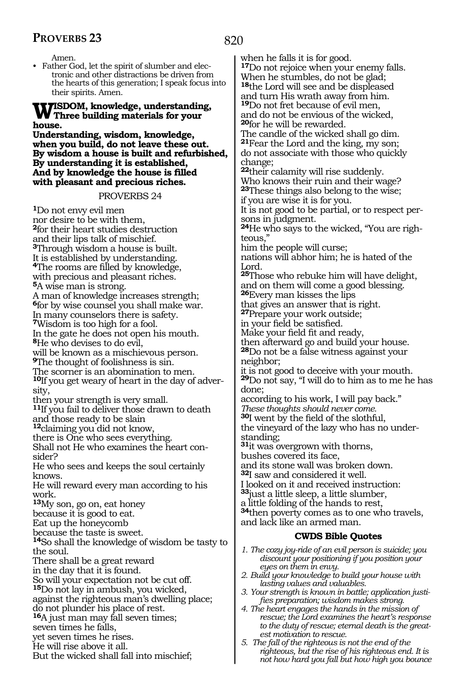Amen.

• Father God, let the spirit of slumber and electronic and other distractions be driven from the hearts of this generation; I speak focus into their spirits. Amen.

## **Wisdom, knowledge, understanding, Three building materials for your house.**

**Understanding, wisdom, knowledge, when you build, do not leave these out. By wisdom a house is built and refurbished, By understanding it is established, And by knowledge the house is filled with pleasant and precious riches.**

## PROVERBS 24

**<sup>1</sup>**Do not envy evil men nor desire to be with them, **<sup>2</sup>**for their heart studies destruction and their lips talk of mischief. **<sup>3</sup>**Through wisdom a house is built. It is established by understanding. **<sup>4</sup>**The rooms are filled by knowledge, with precious and pleasant riches. **<sup>5</sup>**A wise man is strong. A man of knowledge increases strength; **<sup>6</sup>**for by wise counsel you shall make war. In many counselors there is safety. **<sup>7</sup>**Wisdom is too high for a fool. In the gate he does not open his mouth. **<sup>8</sup>**He who devises to do evil, will be known as a mischievous person. **<sup>9</sup>**The thought of foolishness is sin. The scorner is an abomination to men. **10**If you get weary of heart in the day of adversity, then your strength is very small. **<sup>11</sup>**If you fail to deliver those drawn to death and those ready to be slain **<sup>12</sup>**claiming you did not know, there is One who sees everything. Shall not He who examines the heart con- sider? He who sees and keeps the soul certainly knows. He will reward every man according to his work. **<sup>13</sup>**My son, go on, eat honey because it is good to eat. Eat up the honeycomb because the taste is sweet. **<sup>14</sup>**So shall the knowledge of wisdom be tasty to the soul. There shall be a great reward in the day that it is found. So will your expectation not be cut off. **<sup>15</sup>**Do not lay in ambush, you wicked, against the righteous man's dwelling place; do not plunder his place of rest. **<sup>16</sup>**A just man may fall seven times; seven times he falls, yet seven times he rises. He will rise above it all.

But the wicked shall fall into mischief;

when he falls it is for good. **<sup>17</sup>**Do not rejoice when your enemy falls. When he stumbles, do not be glad; **<sup>18</sup>**the Lord will see and be displeased and turn His wrath away from him. **<sup>19</sup>**Do not fret because of evil men, and do not be envious of the wicked, **<sup>20</sup>**for he will be rewarded. The candle of the wicked shall go dim. **<sup>21</sup>**Fear the Lord and the king, my son; do not associate with those who quickly change; **<sup>22</sup>**their calamity will rise suddenly. Who knows their ruin and their wage? **<sup>23</sup>**These things also belong to the wise; if you are wise it is for you. It is not good to be partial, or to respect persons in judgment. **24**He who says to the wicked, "You are righteous," him the people will curse; nations will abhor him; he is hated of the Lord. **<sup>25</sup>**Those who rebuke him will have delight, and on them will come a good blessing. **<sup>26</sup>**Every man kisses the lips that gives an answer that is right. **<sup>27</sup>**Prepare your work outside; in your field be satisfied. Make your field fit and ready, then afterward go and build your house. **<sup>28</sup>**Do not be a false witness against your neighbor; it is not good to deceive with your mouth. **<sup>29</sup>**Do not say, "I will do to him as to me he has done; according to his work, I will pay back." *These thoughts should never come.* **<sup>30</sup>**I went by the field of the slothful, the vineyard of the lazy who has no understanding; **<sup>31</sup>**it was overgrown with thorns, bushes covered its face, and its stone wall was broken down. **<sup>32</sup>**I saw and considered it well. I looked on it and received instruction: **<sup>33</sup>**just a little sleep, a little slumber, a little folding of the hands to rest, **<sup>34</sup>**then poverty comes as to one who travels, and lack like an armed man. **CWDS Bible Quotes** *1. The cozy joy-ride of an evil person is suicide; you discount your positioning if you position your eyes on them in envy. 2. Build your knowledge to build your house with lasting values and valuables. 3. Your strength is known in battle; application justifies preparation; wisdom makes strong.*

- *4. The heart engages the hands in the mission of rescue; the Lord examines the heart's response to the duty of rescue; eternal death is the greatest motivation to rescue.*
- *5. The fall of the righteous is not the end of the righteous, but the rise of his righteous end. It is not how hard you fall but how high you bounce*

## 820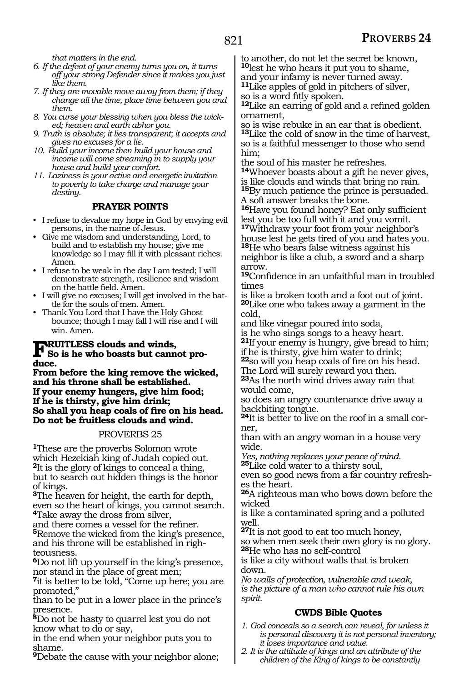*that matters in the end.*

- *6. If the defeat of your enemy turns you on, it turns off your strong Defender since it makes you just like them.*
- *7. If they are movable move away from them; if they change all the time, place time between you and them.*
- *8. You curse your blessing when you bless the wicked; heaven and earth abhor you.*
- *9. Truth is absolute; it lies transparent; it accepts and gives no excuses for a lie.*
- *10. Build your income then build your house and income will come streaming in to supply your house and build your comfort.*
- *11. Laziness is your active and energetic invitation to poverty to take charge and manage your destiny.*

## **PRAYER POINTS**

- I refuse to devalue my hope in God by envying evil persons, in the name of Jesus.
- Give me wisdom and understanding, Lord, to build and to establish my house; give me knowledge so I may fill it with pleasant riches. Amen.
- I refuse to be weak in the day I am tested; I will demonstrate strength, resilience and wisdom on the battle field. Amen.
- I will give no excuses; I will get involved in the battle for the souls of men. Amen.
- Thank You Lord that I have the Holy Ghost bounce; though I may fall I will rise and I will win. Amen.

## **FRUITLESS clouds and winds,**<br>So is he who boasts but cannot pro**duce.**

**From before the king remove the wicked, and his throne shall be established. If your enemy hungers, give him food; If he is thirsty, give him drink; So shall you heap coals of fire on his head. Do not be fruitless clouds and wind.** 

## PROVERBS 25

**<sup>1</sup>**These are the proverbs Solomon wrote which Hezekiah king of Judah copied out. **<sup>2</sup>**It is the glory of kings to conceal a thing, but to search out hidden things is the honor of kings.

**<sup>3</sup>**The heaven for height, the earth for depth, even so the heart of kings, you cannot search. **<sup>4</sup>**Take away the dross from silver,

and there comes a vessel for the refiner. **<sup>5</sup>**Remove the wicked from the king's presence, and his throne will be established in righteousness.

**<sup>6</sup>**Do not lift up yourself in the king's presence, nor stand in the place of great men;

**<sup>7</sup>**it is better to be told, "Come up here; you are promoted,"

than to be put in a lower place in the prince's presence.

**<sup>8</sup>**Do not be hasty to quarrel lest you do not know what to do or say,

in the end when your neighbor puts you to shame.

**<sup>9</sup>**Debate the cause with your neighbor alone;

to another, do not let the secret be known, **<sup>10</sup>**lest he who hears it put you to shame, and your infamy is never turned away.

**<sup>11</sup>**Like apples of gold in pitchers of silver, so is a word fitly spoken.

**<sup>12</sup>**Like an earring of gold and a refined golden ornament,

so is wise rebuke in an ear that is obedient. **<sup>13</sup>**Like the cold of snow in the time of harvest, so is a faithful messenger to those who send him;

the soul of his master he refreshes.

**<sup>14</sup>**Whoever boasts about a gift he never gives, is like clouds and winds that bring no rain.

**<sup>15</sup>**By much patience the prince is persuaded. A soft answer breaks the bone.

**<sup>16</sup>**Have you found honey? Eat only sufficient lest you be too full with it and you vomit. **<sup>17</sup>**Withdraw your foot from your neighbor's

house lest he gets tired of you and hates you. **<sup>18</sup>**He who bears false witness against his

neighbor is like a club, a sword and a sharp arrow.

**<sup>19</sup>**Confidence in an unfaithful man in troubled times

is like a broken tooth and a foot out of joint. **<sup>20</sup>**Like one who takes away a garment in the cold,

and like vinegar poured into soda,

is he who sings songs to a heavy heart.

**<sup>21</sup>**If your enemy is hungry, give bread to him; if he is thirsty, give him water to drink;

**<sup>22</sup>**so will you heap coals of fire on his head. The Lord will surely reward you then.

**<sup>23</sup>**As the north wind drives away rain that would come,

so does an angry countenance drive away a backbiting tongue.

**<sup>24</sup>**It is better to live on the roof in a small cor- ner,

than with an angry woman in a house very wide.

*Yes, nothing replaces your peace of mind.*  **<sup>25</sup>**Like cold water to a thirsty soul,

even so good news from a far country refreshes the heart.

**<sup>26</sup>**A righteous man who bows down before the wicked

is like a contaminated spring and a polluted well.

**<sup>27</sup>**It is not good to eat too much honey,

so when men seek their own glory is no glory. **<sup>28</sup>**He who has no self-control

is like a city without walls that is broken down.

*No walls of protection, vulnerable and weak, is the picture of a man who cannot rule his own spirit.*

## **CWDS Bible Quotes**

*1. God conceals so a search can reveal, for unless it is personal discovery it is not personal inventory; it loses importance and value.*

*2. It is the attitude of kings and an attribute of the children of the King of kings to be constantly*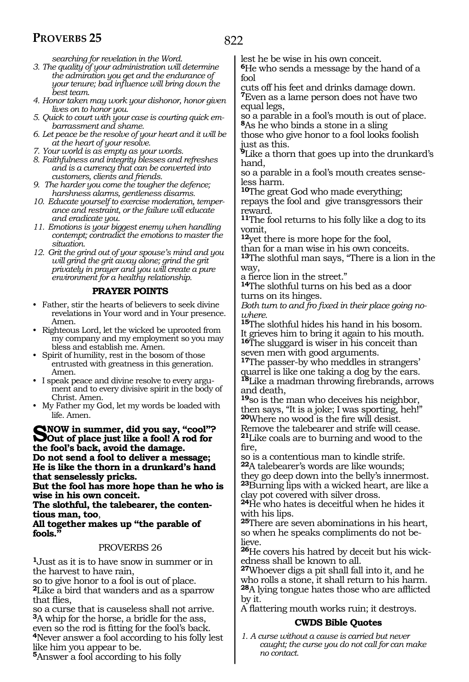*searching for revelation in the Word.*

- *3. The quality of your administration will determine the admiration you get and the endurance of your tenure; bad influence will bring down the best team.*
- *4. Honor taken may work your dishonor, honor given lives on to honor you.*
- *5. Quick to court with your case is courting quick embarrassment and shame.*
- *6. Let peace be the resolve of your heart and it will be at the heart of your resolve.*
- *7. Your world is as empty as your words.*
- *8. Faithfulness and integrity blesses and refreshes and is a currency that can be converted into customers, clients and friends.*
- *9. The harder you come the tougher the defence; harshness alarms, gentleness disarms.*
- *10. Educate yourself to exercise moderation, temperance and restraint, or the failure will educate and eradicate you.*
- *11. Emotions is your biggest enemy when handling contempt; contradict the emotions to master the situation.*
- *12. Grit the grind out of your spouse's mind and you will grind the grit away alone; grind the grit privately in prayer and you will create a pure environment for a healthy relationship.*

## **PRAYER POINTS**

- Father, stir the hearts of believers to seek divine revelations in Your word and in Your presence. Amen.
- Righteous Lord, let the wicked be uprooted from my company and my employment so you may bless and establish me. Amen.
- Spirit of humility, rest in the bosom of those entrusted with greatness in this generation. Amen.
- I speak peace and divine resolve to every argument and to every divisive spirit in the body of Christ. Amen.
- My Father my God, let my words be loaded with life. Amen.

**Snow in summer, did you say, "cool"? Out of place just like a fool! A rod for the fool's back, avoid the damage. Do not send a fool to deliver a message; He is like the thorn in a drunkard's hand that senselessly pricks.** 

**But the fool has more hope than he who is wise in his own conceit.** 

**The slothful, the talebearer, the contentious man, too**,

## **All together makes up "the parable of**  fools.

## PROVERBS 26

**<sup>1</sup>**Just as it is to have snow in summer or in the harvest to have rain,

so to give honor to a fool is out of place. **<sup>2</sup>**Like a bird that wanders and as a sparrow that flies,

so a curse that is causeless shall not arrive. **<sup>3</sup>**A whip for the horse, a bridle for the ass, <sup>4</sup>Never answer a fool according to his folly lest. like him you appear to be.

**<sup>5</sup>**Answer a fool according to his folly

lest he be wise in his own conceit.

**<sup>6</sup>**He who sends a message by the hand of a fool

cuts off his feet and drinks damage down. **<sup>7</sup>**Even as a lame person does not have two equal legs,

so a parable in a fool's mouth is out of place. **<sup>8</sup>**As he who binds a stone in a sling

those who give honor to a fool looks foolish just as this.

**<sup>9</sup>**Like a thorn that goes up into the drunkard's hand,

so a parable in a fool's mouth creates senseless harm.

**<sup>10</sup>**The great God who made everything; repays the fool and give transgressors their reward.

**<sup>11</sup>**The fool returns to his folly like a dog to its vomit,

**<sup>12</sup>**yet there is more hope for the fool,

than for a man wise in his own conceits.

**<sup>13</sup>**The slothful man says, "There is a lion in the way,

a fierce lion in the street." **14**The slothful turns on his bed as a door turns on its hinges.

*Both turn to and fro fixed in their place going nowhere.* 

**<sup>15</sup>**The slothful hides his hand in his bosom. It grieves him to bring it again to his mouth. **<sup>16</sup>**The sluggard is wiser in his conceit than seven men with good arguments.

**<sup>17</sup>**The passer-by who meddles in strangers' quarrel is like one taking a dog by the ears*.* **<sup>18</sup>**Like a madman throwing firebrands, arrows and death,

**<sup>19</sup>**so is the man who deceives his neighbor, then says, "It is a joke; I was sporting, heh!" **<sup>20</sup>**Where no wood is the fire will desist. Remove the talebearer and strife will cease. **<sup>21</sup>**Like coals are to burning and wood to the fire,

so is a contentious man to kindle strife. **<sup>22</sup>**A talebearer's words are like wounds; they go deep down into the belly's innermost. **<sup>23</sup>**Burning lips with a wicked heart, are like a clay pot covered with silver dross.

**<sup>24</sup>**He who hates is deceitful when he hides it with his lips.

**<sup>25</sup>**There are seven abominations in his heart, so when he speaks compliments do not believe.

**26**He covers his hatred by deceit but his wickedness shall be known to all.

**<sup>27</sup>**Whoever digs a pit shall fall into it, and he who rolls a stone, it shall return to his harm. **<sup>28</sup>**A lying tongue hates those who are afflicted by it*.*

A flattering mouth works ruin; it destroys.

## **CWDS Bible Quotes**

*1. A curse without a cause is carried but never caught; the curse you do not call for can make no contact.*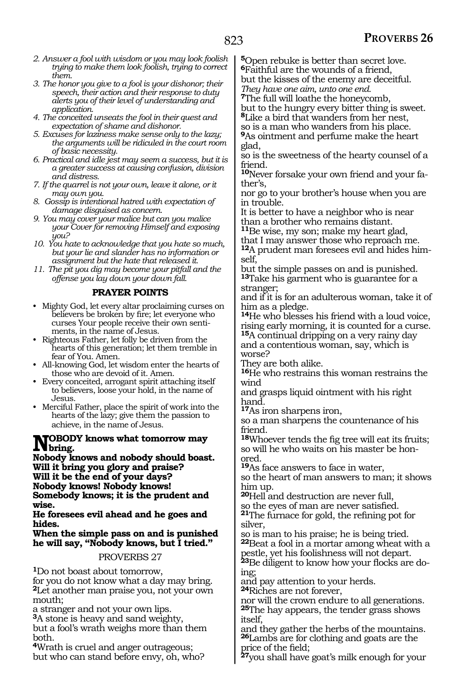- *2. Answer a fool with wisdom or you may look foolish trying to make them look foolish, trying to correct them.*
- *3. The honor you give to a fool is your dishonor; their speech, their action and their response to duty alerts you of their level of understanding and application.*
- *4. The conceited unseats the fool in their quest and expectation of shame and dishonor.*
- *5. Excuses for laziness make sense only to the lazy; the arguments will be ridiculed in the court room of basic necessity.*
- *6. Practical and idle jest may seem a success, but it is a greater success at causing confusion, division and distress.*
- *7. If the quarrel is not your own, leave it alone, or it may own you.*
- *8. Gossip is intentional hatred with expectation of damage disguised as concern.*
- *9. You may cover your malice but can you malice your Cover for removing Himself and exposing you?*
- *10. You hate to acknowledge that you hate so much, but your lie and slander has no information or assignment but the hate that released it.*
- *11. The pit you dig may become your pitfall and the offense you lay down your down fall.*

## **PRAYER POINTS**

- Mighty God, let every altar proclaiming curses on believers be broken by fire; let everyone who curses Your people receive their own sentiments, in the name of Jesus.
- Righteous Father, let folly be driven from the hearts of this generation; let them tremble in fear of You. Amen.
- All-knowing God, let wisdom enter the hearts of those who are devoid of it. Amen.
- Every conceited, arrogant spirit attaching itself to believers, loose your hold, in the name of Jesus.
- Merciful Father, place the spirit of work into the hearts of the lazy; give them the passion to achieve, in the name of Jesus.

# **NOBODY** knows what tomorrow may<br>
Nobel in the set of a shedy should be set

**Nobody knows and nobody should boast. Will it bring you glory and praise? Will it be the end of your days? Nobody knows! Nobody knows! Somebody knows; it is the prudent and wise.**

**He foresees evil ahead and he goes and hides.**

**When the simple pass on and is punished he will say, "Nobody knows, but I tried."**

## PROVERBS 27

**<sup>1</sup>**Do not boast about tomorrow,

for you do not know what a day may bring. **<sup>2</sup>**Let another man praise you, not your own mouth;

a stranger and not your own lips.

**<sup>3</sup>**A stone is heavy and sand weighty, but a fool's wrath weighs more than them both.

**<sup>4</sup>**Wrath is cruel and anger outrageous; but who can stand before envy, oh, who? **<sup>5</sup>**Open rebuke is better than secret love. **<sup>6</sup>**Faithful are the wounds of a friend,

but the kisses of the enemy are deceitful.

*They have one aim, unto one end.*  **<sup>7</sup>**The full will loathe the honeycomb,

but to the hungry every bitter thing is sweet.

**<sup>8</sup>**Like a bird that wanders from her nest,

so is a man who wanders from his place. **<sup>9</sup>**As ointment and perfume make the heart glad,

so is the sweetness of the hearty counsel of a friend.

**10**Never forsake your own friend and your father's,

nor go to your brother's house when you are in trouble.

It is better to have a neighbor who is near than a brother who remains distant.

**<sup>11</sup>**Be wise, my son; make my heart glad,

that I may answer those who reproach me. **12**A prudent man foresees evil and hides himself,

but the simple passes on and is punished. **<sup>13</sup>**Take his garment who is guarantee for a stranger;

and if it is for an adulterous woman, take it of him as a pledge.

**<sup>14</sup>**He who blesses his friend with a loud voice, rising early morning, it is counted for a curse. **<sup>15</sup>**A continual dripping on a very rainy day

and a contentious woman, say, which is worse?

They are both alike.

**<sup>16</sup>**He who restrains this woman restrains the wind

and grasps liquid ointment with his right hand*.* **<sup>17</sup>**As iron sharpens iron,

so a man sharpens the countenance of his friend.

**<sup>18</sup>**Whoever tends the fig tree will eat its fruits; so will he who waits on his master be honored.

**<sup>19</sup>**As face answers to face in water,

so the heart of man answers to man; it shows him up.

**<sup>20</sup>**Hell and destruction are never full,

so the eyes of man are never satisfied. **<sup>21</sup>**The furnace for gold, the refining pot for silver,

so is man to his praise; he is being tried. **<sup>22</sup>**Beat a fool in a mortar among wheat with a

pestle, yet his foolishness will not depart. **23**Be diligent to know how your flocks are do-

ing; and pay attention to your herds.

**<sup>24</sup>**Riches are not forever,

nor will the crown endure to all generations. **<sup>25</sup>**The hay appears, the tender grass shows itself,

and they gather the herbs of the mountains. **<sup>26</sup>**Lambs are for clothing and goats are the price of the field;

**<sup>27</sup>**you shall have goat's milk enough for your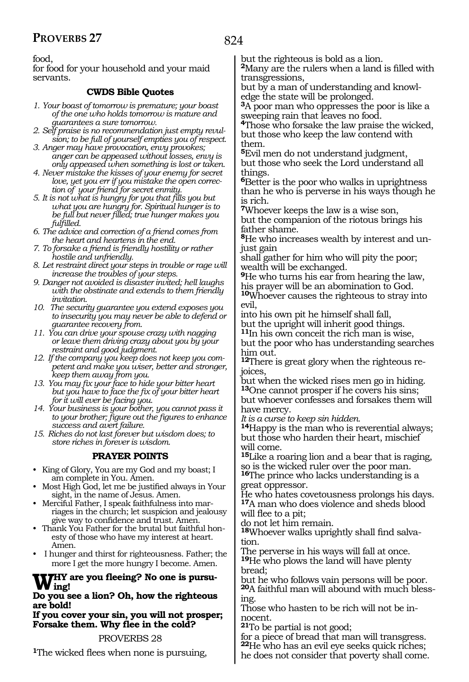824

food,

for food for your household and your maid servants.

## **CWDS Bible Quotes**

- *1. Your boast of tomorrow is premature; your boast of the one who holds tomorrow is mature and guarantees a sure tomorrow.*
- *2. Self praise is no recommendation just empty revulsion; to be full of yourself empties you of respect.*
- *3. Anger may have provocation, envy provokes; anger can be appeased without losses, envy is only appeased when something is lost or taken.*
- *4. Never mistake the kisses of your enemy for secret love, yet you err if you mistake the open correction of your friend for secret enmity.*
- *5. It is not what is hungry for you that fills you but what you are hungry for. Spiritual hunger is to be full but never filled; true hunger makes you fulfilled.*
- *6. The advice and correction of a friend comes from the heart and heartens in the end.*
- *7. To forsake a friend is friendly hostility or rather hostile and unfriendly.*
- *8. Let restraint direct your steps in trouble or rage will increase the troubles of your steps.*
- *9. Danger not avoided is disaster invited; hell laughs with the obstinate and extends to them friendly invitation.*
- *10. The security guarantee you extend exposes you to insecurity you may never be able to defend or guarantee recovery from.*
- *11. You can drive your spouse crazy with nagging or leave them driving crazy about you by your restraint and good judgment.*
- *12. If the company you keep does not keep you competent and make you wiser, better and stronger, keep them away from you.*
- *13. You may fix your face to hide your bitter heart but you have to face the fix of your bitter heart for it will ever be facing you.*
- *14. Your business is your bother, you cannot pass it to your brother; figure out the figures to enhance success and avert failure.*
- *15. Riches do not last forever but wisdom does; to store riches in forever is wisdom.*

## **PRAYER POINTS**

- King of Glory, You are my God and my boast; I am complete in You. Amen.
- Most High God, let me be justified always in Your sight, in the name of Jesus. Amen.
- Merciful Father, I speak faithfulness into marriages in the church; let suspicion and jealousy give way to confidence and trust. Amen.
- Thank You Father for the brutal but faithful honesty of those who have my interest at heart. Amen.
- I hunger and thirst for righteousness. Father; the more I get the more hungry I become. Amen.

## **Why are you fleeing? No one is pursuing!**

#### **Do you see a lion? Oh, how the righteous are bold!**

**If you cover your sin, you will not prosper; Forsake them. Why flee in the cold?**

## PROVERBS 28

**<sup>1</sup>**The wicked flees when none is pursuing,

but the righteous is bold as a lion.

**<sup>2</sup>**Many are the rulers when a land is filled with transgressions,

but by a man of understanding and knowledge the state will be prolonged.

**<sup>3</sup>**A poor man who oppresses the poor is like a sweeping rain that leaves no food.

**<sup>4</sup>**Those who forsake the law praise the wicked, but those who keep the law contend with them.

**<sup>5</sup>**Evil men do not understand judgment, but those who seek the Lord understand all things.

**<sup>6</sup>**Better is the poor who walks in uprightness than he who is perverse in his ways though he is rich.

**<sup>7</sup>**Whoever keeps the law is a wise son, but the companion of the riotous brings his father shame.

**8**He who increases wealth by interest and unjust gain

shall gather for him who will pity the poor; wealth will be exchanged.

**<sup>9</sup>**He who turns his ear from hearing the law, his prayer will be an abomination to God. **<sup>10</sup>**Whoever causes the righteous to stray into evil,

into his own pit he himself shall fall, but the upright will inherit good things. **<sup>11</sup>**In his own conceit the rich man is wise,

but the poor who has understanding searches him out.

**12**There is great glory when the righteous rejoices,

but when the wicked rises men go in hiding. **<sup>13</sup>**One cannot prosper if he covers his sins; but whoever confesses and forsakes them will have mercy.

*It is a curse to keep sin hidden.* 

**<sup>14</sup>**Happy is the man who is reverential always; but those who harden their heart, mischief will come.

**<sup>15</sup>**Like a roaring lion and a bear that is raging, so is the wicked ruler over the poor man.

**<sup>16</sup>**The prince who lacks understanding is a great oppressor.

He who hates covetousness prolongs his days. **<sup>17</sup>**A man who does violence and sheds blood

will flee to a pit;

do not let him remain.

**<sup>18</sup>**Whoever walks uprightly shall find salva- tion.

The perverse in his ways will fall at once. **<sup>19</sup>**He who plows the land will have plenty bread;

but he who follows vain persons will be poor. **20**A faithful man will abound with much blessing.

Those who hasten to be rich will not be innocent.

**<sup>21</sup>**To be partial is not good;

for a piece of bread that man will transgress. **<sup>22</sup>**He who has an evil eye seeks quick riches; he does not consider that poverty shall come.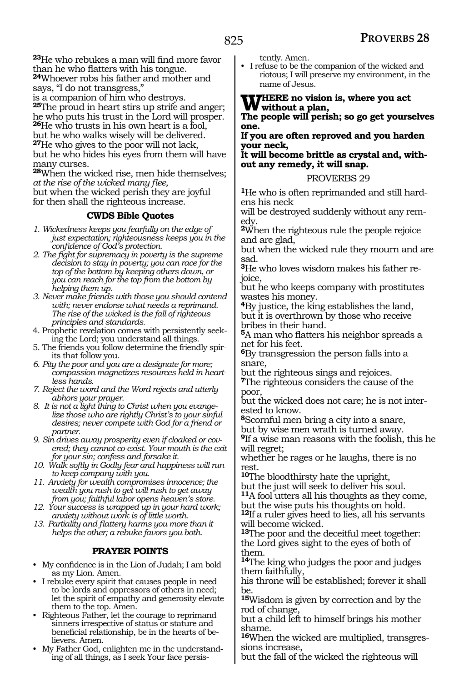**<sup>23</sup>**He who rebukes a man will find more favor than he who flatters with his tongue. **<sup>24</sup>**Whoever robs his father and mother and

says, "I do not transgress,"

is a companion of him who destroys.

**<sup>25</sup>**The proud in heart stirs up strife and anger; he who puts his trust in the Lord will prosper. **<sup>26</sup>**He who trusts in his own heart is a fool, but he who walks wisely will be delivered. **<sup>27</sup>**He who gives to the poor will not lack,

but he who hides his eyes from them will have many curses.

**<sup>28</sup>**When the wicked rise, men hide themselves; *at the rise of the wicked many flee,* 

but when the wicked perish they are joyful for then shall the righteous increase.

## **CWDS Bible Quotes**

- *1. Wickedness keeps you fearfully on the edge of just expectation; righteousness keeps you in the confidence of God's protection.*
- *2. The fight for supremacy in poverty is the supreme decision to stay in poverty; you can race for the top of the bottom by keeping others down, or you can reach for the top from the bottom by helping them up.*
- *3. Never make friends with those you should contend with; never endorse what needs a reprimand. The rise of the wicked is the fall of righteous principles and standards.*
- 4. Prophetic revelation comes with persistently seeking the Lord; you understand all things.
- 5. The friends you follow determine the friendly spirits that follow you.
- *6. Pity the poor and you are a designate for more; compassion magnetizes resources held in heartless hands.*
- *7. Reject the word and the Word rejects and utterly abhors your prayer.*
- *8. It is not a light thing to Christ when you evangelize those who are rightly Christ's to your sinful desires; never compete with God for a friend or partner.*
- *9. Sin drives away prosperity even if cloaked or covered; they cannot co-exist. Your mouth is the exit for your sin; confess and forsake it.*
- *10. Walk softly in Godly fear and happiness will run to keep company with you.*
- *11. Anxiety for wealth compromises innocence; the wealth you rush to get will rush to get away from you; faithful labor opens heaven's store.*
- *12. Your success is wrapped up in your hard work; anxiety without work is of little worth.*
- *13. Partiality and flattery harms you more than it helps the other; a rebuke favors you both.*

## **PRAYER POINTS**

- My confidence is in the Lion of Judah; I am bold as my Lion. Amen.
- I rebuke every spirit that causes people in need to be lords and oppressors of others in need; let the spirit of empathy and generosity elevate them to the top. Amen.
- Righteous Father, let the courage to reprimand sinners irrespective of status or stature and beneficial relationship, be in the hearts of believers. Amen.
- My Father God, enlighten me in the understanding of all things, as I seek Your face persis-

tently. Amen.

• I refuse to be the companion of the wicked and riotous; I will preserve my environment, in the name of Jesus.

**WHERE** no vision is, where you act **without a plan,** 

**The people will perish; so go get yourselves one.** 

## **If you are often reproved and you harden your neck,**

**It will become brittle as crystal and, with- out any remedy, it will snap.** 

## PROVERBS 29

**1**He who is often reprimanded and still hardens his neck

will be destroyed suddenly without any remedy.

**<sup>2</sup>**When the righteous rule the people rejoice and are glad,

but when the wicked rule they mourn and are sad.

**3**He who loves wisdom makes his father rejoice,

but he who keeps company with prostitutes wastes his money.

**<sup>4</sup>**By justice, the king establishes the land, but it is overthrown by those who receive bribes in their hand.

**<sup>5</sup>**A man who flatters his neighbor spreads a net for his feet.

**<sup>6</sup>**By transgression the person falls into a snare,

but the righteous sings and rejoices. **<sup>7</sup>**The righteous considers the cause of the poor,

but the wicked does not care; he is not inter- ested to know.

**<sup>8</sup>**Scornful men bring a city into a snare,

but by wise men wrath is turned away.

**<sup>9</sup>**If a wise man reasons with the foolish, this he will regret;

whether he rages or he laughs, there is no rest.

**<sup>10</sup>**The bloodthirsty hate the upright,

but the just will seek to deliver his soul. **<sup>11</sup>**A fool utters all his thoughts as they come,

but the wise puts his thoughts on hold.

**<sup>12</sup>**If a ruler gives heed to lies, all his servants will become wicked.

**<sup>13</sup>**The poor and the deceitful meet together: the Lord gives sight to the eyes of both of them.

**<sup>14</sup>**The king who judges the poor and judges them faithfully,

his throne will be established; forever it shall be.

**<sup>15</sup>**Wisdom is given by correction and by the rod of change,

but a child left to himself brings his mother shame.

**16**When the wicked are multiplied, transgressions increase,

but the fall of the wicked the righteous will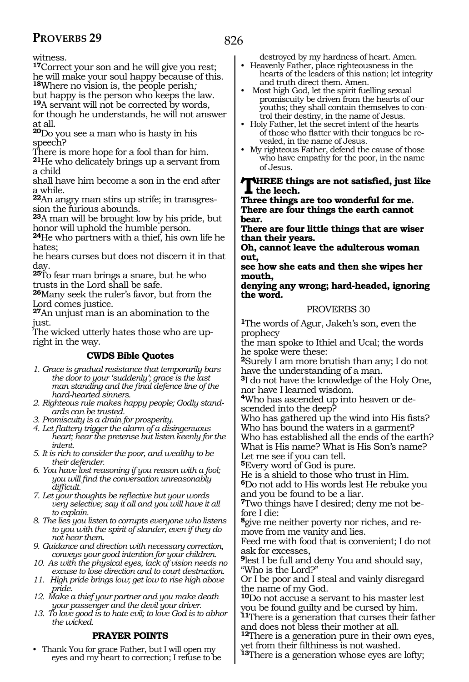witness.

**<sup>17</sup>**Correct your son and he will give you rest; he will make your soul happy because of this. **<sup>18</sup>**Where no vision is, the people perish*;*

but happy is the person who keeps the law. **<sup>19</sup>**A servant will not be corrected by words, for though he understands, he will not answer at all.

**<sup>20</sup>**Do you see a man who is hasty in his speech?

There is more hope for a fool than for him.

**<sup>21</sup>**He who delicately brings up a servant from a child

shall have him become a son in the end after a while.

**22**An angry man stirs up strife; in transgression the furious abounds.

**<sup>23</sup>**A man will be brought low by his pride, but honor will uphold the humble person.

**<sup>24</sup>**He who partners with a thief, his own life he hates;

he hears curses but does not discern it in that day.

**<sup>25</sup>**To fear man brings a snare, but he who trusts in the Lord shall be safe.

**<sup>26</sup>**Many seek the ruler's favor, but from the Lord comes justice.

**<sup>27</sup>**An unjust man is an abomination to the just.

The wicked utterly hates those who are upright in the way.

## **CWDS Bible Quotes**

- *1. Grace is gradual resistance that temporarily bars the door to your 'suddenly'; grace is the last man standing and the final defence line of the hard-hearted sinners.*
- *2. Righteous rule makes happy people; Godly standards can be trusted.*

*3. Promiscuity is a drain for prosperity.*

*4. Let flattery trigger the alarm of a disingenuous heart; hear the pretense but listen keenly for the intent.*

*5. It is rich to consider the poor, and wealthy to be their defender.*

*6. You have lost reasoning if you reason with a fool; you will find the conversation unreasonably difficult.*

*7. Let your thoughts be reflective but your words very selective; say it all and you will have it all to explain.*

*8. The lies you listen to corrupts everyone who listens to you with the spirit of slander, even if they do not hear them.*

*9. Guidance and direction with necessary correction, conveys your good intention for your children.*

*10. As with the physical eyes, lack of vision needs no excuse to lose direction and to court destruction.*

*11. High pride brings low; get low to rise high above pride.*

*12. Make a thief your partner and you make death your passenger and the devil your driver.*

*13. To love good is to hate evil; to love God is to abhor the wicked.*

## **PRAYER POINTS**

• Thank You for grace Father, but I will open my eyes and my heart to correction; I refuse to be destroyed by my hardness of heart. Amen.

• Heavenly Father, place righteousness in the hearts of the leaders of this nation; let integrity and truth direct them. Amen.

• Most high God, let the spirit fuelling sexual promiscuity be driven from the hearts of our youths; they shall contain themselves to control their destiny, in the name of Jesus.

• Holy Father, let the secret intent of the hearts of those who flatter with their tongues be revealed, in the name of Jesus.

• My righteous Father, defend the cause of those who have empathy for the poor, in the name of Jesus.

**Three things are not satisfied, just like the leech.**

**Three things are too wonderful for me. There are four things the earth cannot bear.**

**There are four little things that are wiser than their years.**

**Oh, cannot leave the adulterous woman out,**

**see how she eats and then she wipes her mouth,** 

**denying any wrong; hard-headed, ignoring the word.**

## PROVERBS 30

**<sup>1</sup>**The words of Agur, Jakeh's son, even the prophecy

the man spoke to Ithiel and Ucal; the words he spoke were these:

**<sup>2</sup>**Surely I am more brutish than any; I do not have the understanding of a man.

**<sup>3</sup>**I do not have the knowledge of the Holy One, nor have I learned wisdom.

**4**Who has ascended up into heaven or descended into the deep?

Who has gathered up the wind into His fists? Who has bound the waters in a garment? Who has established all the ends of the earth? What is His name? What is His Son's name? Let me see if you can tell.

**<sup>5</sup>**Every word of God is pure.

He is a shield to those who trust in Him. **<sup>6</sup>**Do not add to His words lest He rebuke you and you be found to be a liar.

**7**Two things have I desired; deny me not before I die:

**<sup>8</sup>**give me neither poverty nor riches, and re- move from me vanity and lies.

Feed me with food that is convenient; I do not ask for excesses,

**<sup>9</sup>**lest I be full and deny You and should say, "Who is the Lord?"

Or I be poor and I steal and vainly disregard the name of my God.

**<sup>10</sup>**Do not accuse a servant to his master lest you be found guilty and be cursed by him.

**<sup>11</sup>**There is a generation that curses their father and does not bless their mother at all.

**<sup>12</sup>**There is a generation pure in their own eyes, yet from their filthiness is not washed.

**<sup>13</sup>**There is a generation whose eyes are lofty;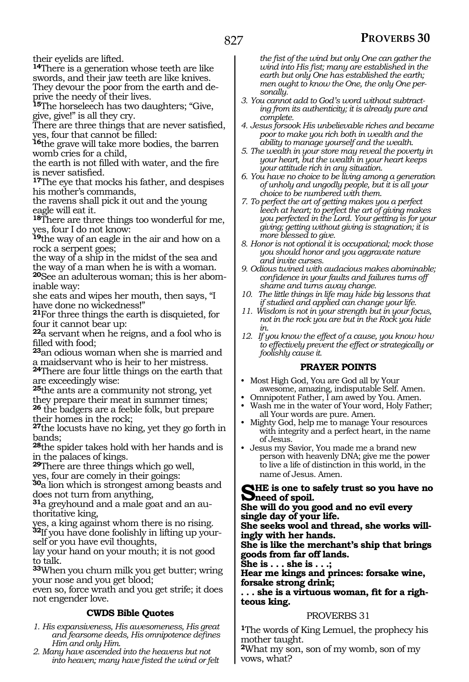their eyelids are lifted.

**<sup>14</sup>**There is a generation whose teeth are like swords, and their jaw teeth are like knives. They devour the poor from the earth and deprive the needy of their lives.

**<sup>15</sup>**The horseleech has two daughters; "Give, give, give!" is all they cry.

There are three things that are never satisfied, yes, four that cannot be filled:

**<sup>16</sup>**the grave will take more bodies, the barren womb cries for a child,

the earth is not filled with water, and the fire is never satisfied.

**<sup>17</sup>**The eye that mocks his father, and despises his mother's commands,

the ravens shall pick it out and the young eagle will eat it.

**<sup>18</sup>**There are three things too wonderful for me, yes, four I do not know:

**<sup>19</sup>**the way of an eagle in the air and how on a rock a serpent goes;

the way of a ship in the midst of the sea and the way of a man when he is with a woman.

**20**See an adulterous woman; this is her abominable way:

she eats and wipes her mouth, then says, "I have done no wickedness!"

**<sup>21</sup>**For three things the earth is disquieted, for four it cannot bear up:

**<sup>22</sup>**a servant when he reigns, and a fool who is filled with food;

**<sup>23</sup>**an odious woman when she is married and a maidservant who is heir to her mistress.

**<sup>24</sup>**There are four little things on the earth that are exceedingly wise:

**<sup>25</sup>**the ants are a community not strong, yet they prepare their meat in summer times; **<sup>26</sup>** the badgers are a feeble folk, but prepare

their homes in the rock;

**<sup>27</sup>**the locusts have no king, yet they go forth in bands;

**<sup>28</sup>**the spider takes hold with her hands and is in the palaces of kings.

**<sup>29</sup>**There are three things which go well, yes, four are comely in their goings:

**<sup>30</sup>**a lion which is strongest among beasts and does not turn from anything,

**31**a greyhound and a male goat and an authoritative king,

yes, a king against whom there is no rising.

**32**If you have done foolishly in lifting up yourself or you have evil thoughts,

lay your hand on your mouth; it is not good to talk.

**<sup>33</sup>**When you churn milk you get butter; wring your nose and you get blood;

even so, force wrath and you get strife; it does not engender love.

## **CWDS Bible Quotes**

*1. His expansiveness, His awesomeness, His great and fearsome deeds, His omnipotence defines Him and only Him.*

*2. Many have ascended into the heavens but not into heaven; many have fisted the wind or felt* 

*the fist of the wind but only One can gather the wind into His fist; many are established in the earth but only One has established the earth; men ought to know the One, the only One personally.*

- *3. You cannot add to God's word without subtracting from its authenticity; it is already pure and complete.*
- *4. Jesus forsook His unbelievable riches and became poor to make you rich both in wealth and the ability to manage yourself and the wealth.*
- *5. The wealth in your store may reveal the poverty in your heart, but the wealth in your heart keeps your attitude rich in any situation.*
- *6. You have no choice to be living among a generation of unholy and ungodly people, but it is all your choice to be numbered with them.*
- *7. To perfect the art of getting makes you a perfect leech at heart; to perfect the art of giving makes you perfected in the Lord. Your getting is for your giving; getting without giving is stagnation; it is more blessed to give.*
- *8. Honor is not optional it is occupational; mock those you should honor and you aggravate nature and invite curses.*
- *9. Odious twined with audacious makes abominable; confidence in your faults and failures turns off shame and turns away change.*
- *10. The little things in life may hide big lessons that if studied and applied can change your life.*
- *11. Wisdom is not in your strength but in your focus, not in the rock you are but in the Rock you hide in.*
- *12. If you know the effect of a cause, you know how to effectively prevent the effect or strategically or foolishly cause it.*

## **PRAYER POINTS**

- Most High God, You are God all by Your awesome, amazing, indisputable Self. Amen.
- Omnipotent Father, I am awed by You. Amen.
- Wash me in the water of Your word, Holy Father; all Your words are pure. Amen.
- Mighty God, help me to manage Your resources with integrity and a perfect heart, in the name of Jesus.
- Jesus my Savior, You made me a brand new person with heavenly DNA; give me the power to live a life of distinction in this world, in the name of Jesus. Amen.

SHE is one to safely trust so you have no<br>
She will do you good and no smill sugger

**She will do you good and no evil every single day of your life.**

**She seeks wool and thread, she works willingly with her hands.**

**She is like the merchant's ship that brings goods from far off lands.**

**She is . . . she is . . .;** 

**Hear me kings and princes: forsake wine, forsake strong drink;**

**. . . she is a virtuous woman, fit for a righteous king.**

## PROVERBS 31

**<sup>1</sup>**The words of King Lemuel, the prophecy his mother taught.

**<sup>2</sup>**What my son, son of my womb, son of my vows, what?